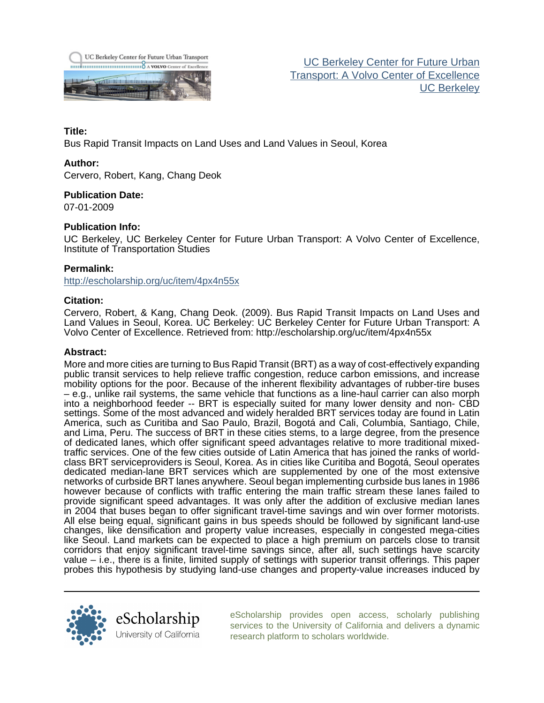

[UC Berkeley Center for Future Urban](http://escholarship.org/uc/its_future_urban_transport) [Transport: A Volvo Center of Excellence](http://escholarship.org/uc/its_future_urban_transport) [UC Berkeley](http://escholarship.org/uc/ucb)

## **Title:**

Bus Rapid Transit Impacts on Land Uses and Land Values in Seoul, Korea

## **Author:**

Cervero, Robert, Kang, Chang Deok

**Publication Date:**

07-01-2009

## **Publication Info:**

UC Berkeley, UC Berkeley Center for Future Urban Transport: A Volvo Center of Excellence, Institute of Transportation Studies

## **Permalink:**

<http://escholarship.org/uc/item/4px4n55x>

## **Citation:**

Cervero, Robert, & Kang, Chang Deok. (2009). Bus Rapid Transit Impacts on Land Uses and Land Values in Seoul, Korea. UC Berkeley: UC Berkeley Center for Future Urban Transport: A Volvo Center of Excellence. Retrieved from: http://escholarship.org/uc/item/4px4n55x

#### **Abstract:**

More and more cities are turning to Bus Rapid Transit (BRT) as a way of cost-effectively expanding public transit services to help relieve traffic congestion, reduce carbon emissions, and increase mobility options for the poor. Because of the inherent flexibility advantages of rubber-tire buses – e.g., unlike rail systems, the same vehicle that functions as a line-haul carrier can also morph into a neighborhood feeder -- BRT is especially suited for many lower density and non- CBD settings. Some of the most advanced and widely heralded BRT services today are found in Latin America, such as Curitiba and Sao Paulo, Brazil, Bogotá and Cali, Columbia, Santiago, Chile, and Lima, Peru. The success of BRT in these cities stems, to a large degree, from the presence of dedicated lanes, which offer significant speed advantages relative to more traditional mixedtraffic services. One of the few cities outside of Latin America that has joined the ranks of worldclass BRT serviceproviders is Seoul, Korea. As in cities like Curitiba and Bogotá, Seoul operates dedicated median-lane BRT services which are supplemented by one of the most extensive networks of curbside BRT lanes anywhere. Seoul began implementing curbside bus lanes in 1986 however because of conflicts with traffic entering the main traffic stream these lanes failed to provide significant speed advantages. It was only after the addition of exclusive median lanes in 2004 that buses began to offer significant travel-time savings and win over former motorists. All else being equal, significant gains in bus speeds should be followed by significant land-use changes, like densification and property value increases, especially in congested mega-cities like Seoul. Land markets can be expected to place a high premium on parcels close to transit corridors that enjoy significant travel-time savings since, after all, such settings have scarcity value – i.e., there is a finite, limited supply of settings with superior transit offerings. This paper probes this hypothesis by studying land-use changes and property-value increases induced by



[eScholarship provides open access, scholarly publishing](http://escholarship.org) [services to the University of California and delivers a dynamic](http://escholarship.org) [research platform to scholars worldwide.](http://escholarship.org)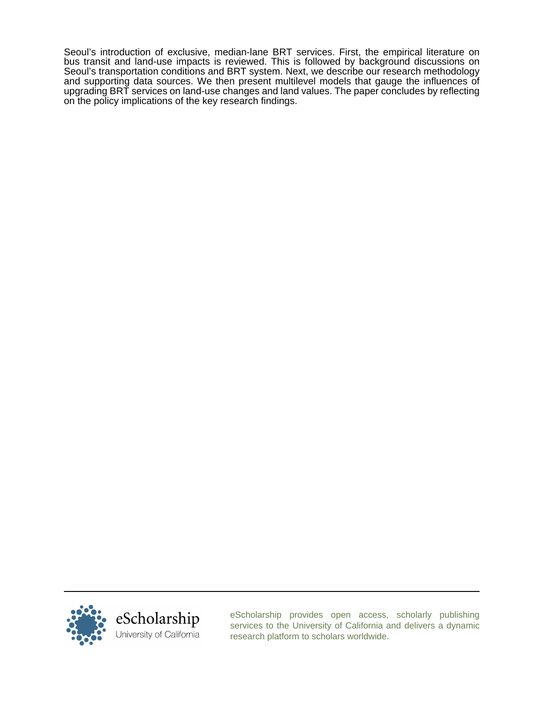Seoul's introduction of exclusive, median-lane BRT services. First, the empirical literature on bus transit and land-use impacts is reviewed. This is followed by background discussions on Seoul's transportation conditions and BRT system. Next, we describe our research methodology and supporting data sources. We then present multilevel models that gauge the influences of upgrading BRT services on land-use changes and land values. The paper concludes by reflecting on the policy implications of the key research findings.



[eScholarship provides open access, scholarly publishing](http://escholarship.org) [services to the University of California and delivers a dynamic](http://escholarship.org) [research platform to scholars worldwide.](http://escholarship.org)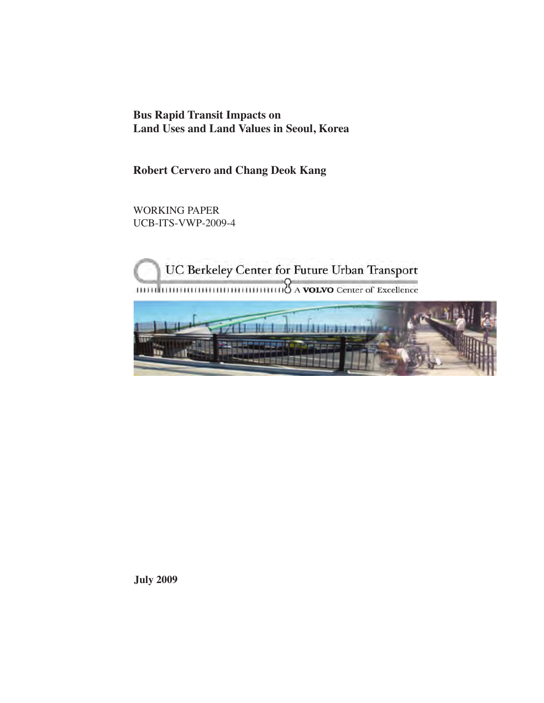**Bus Rapid Transit Impacts on Land Uses and Land Values in Seoul, Korea**

**Robert Cervero and Chang Deok Kang**

WORKING PAPER UCB-ITS-VWP-2009-4

UC Berkeley Center for Future Urban Transport  $\frac{1}{2}$   $\frac{1}{2}$   $\frac{1}{2}$   $\frac{1}{2}$   $\frac{1}{2}$   $\frac{1}{2}$   $\frac{1}{2}$   $\frac{1}{2}$   $\frac{1}{2}$   $\frac{1}{2}$   $\frac{1}{2}$   $\frac{1}{2}$   $\frac{1}{2}$   $\frac{1}{2}$   $\frac{1}{2}$   $\frac{1}{2}$   $\frac{1}{2}$   $\frac{1}{2}$   $\frac{1}{2}$   $\frac{1}{2}$   $\frac{1}{2}$   $\frac{1}{2}$ 



**July 2009**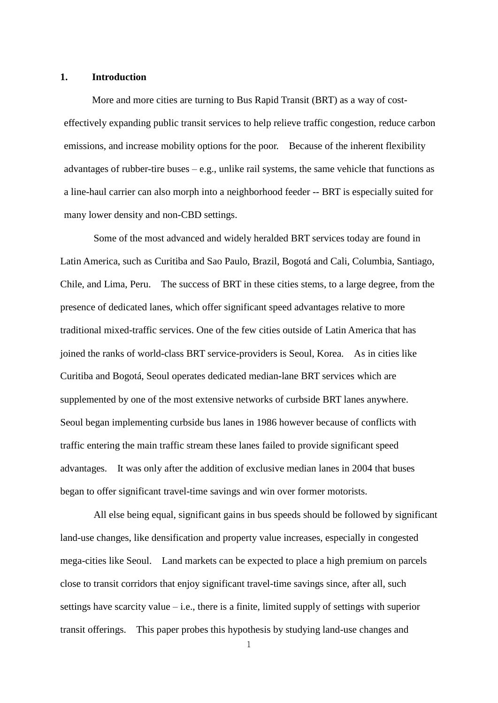#### **1. Introduction**

More and more cities are turning to Bus Rapid Transit (BRT) as a way of costeffectively expanding public transit services to help relieve traffic congestion, reduce carbon emissions, and increase mobility options for the poor. Because of the inherent flexibility advantages of rubber-tire buses  $-e.g.,$  unlike rail systems, the same vehicle that functions as a line-haul carrier can also morph into a neighborhood feeder -- BRT is especially suited for many lower density and non-CBD settings.

Some of the most advanced and widely heralded BRT services today are found in Latin America, such as Curitiba and Sao Paulo, Brazil, Bogotá and Cali, Columbia, Santiago, Chile, and Lima, Peru. The success of BRT in these cities stems, to a large degree, from the presence of dedicated lanes, which offer significant speed advantages relative to more traditional mixed-traffic services. One of the few cities outside of Latin America that has joined the ranks of world-class BRT service-providers is Seoul, Korea. As in cities like Curitiba and Bogotá, Seoul operates dedicated median-lane BRT services which are supplemented by one of the most extensive networks of curbside BRT lanes anywhere. Seoul began implementing curbside bus lanes in 1986 however because of conflicts with traffic entering the main traffic stream these lanes failed to provide significant speed advantages. It was only after the addition of exclusive median lanes in 2004 that buses began to offer significant travel-time savings and win over former motorists.

All else being equal, significant gains in bus speeds should be followed by significant land-use changes, like densification and property value increases, especially in congested mega-cities like Seoul. Land markets can be expected to place a high premium on parcels close to transit corridors that enjoy significant travel-time savings since, after all, such settings have scarcity value – i.e., there is a finite, limited supply of settings with superior transit offerings. This paper probes this hypothesis by studying land-use changes and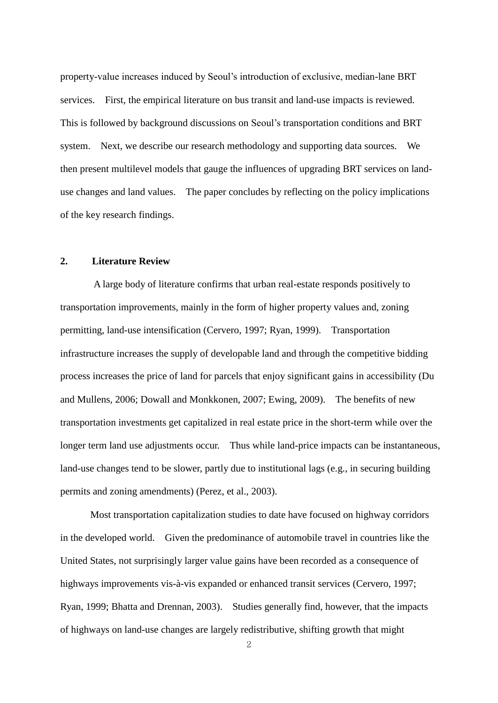property-value increases induced by Seoul's introduction of exclusive, median-lane BRT services. First, the empirical literature on bus transit and land-use impacts is reviewed. This is followed by background discussions on Seoul's transportation conditions and BRT system. Next, we describe our research methodology and supporting data sources. We then present multilevel models that gauge the influences of upgrading BRT services on landuse changes and land values. The paper concludes by reflecting on the policy implications of the key research findings.

## **2. Literature Review**

A large body of literature confirms that urban real-estate responds positively to transportation improvements, mainly in the form of higher property values and, zoning permitting, land-use intensification (Cervero, 1997; Ryan, 1999). Transportation infrastructure increases the supply of developable land and through the competitive bidding process increases the price of land for parcels that enjoy significant gains in accessibility (Du and Mullens, 2006; Dowall and Monkkonen, 2007; Ewing, 2009). The benefits of new transportation investments get capitalized in real estate price in the short-term while over the longer term land use adjustments occur. Thus while land-price impacts can be instantaneous, land-use changes tend to be slower, partly due to institutional lags (e.g., in securing building permits and zoning amendments) (Perez, et al., 2003).

Most transportation capitalization studies to date have focused on highway corridors in the developed world. Given the predominance of automobile travel in countries like the United States, not surprisingly larger value gains have been recorded as a consequence of highways improvements vis-à-vis expanded or enhanced transit services (Cervero, 1997; Ryan, 1999; Bhatta and Drennan, 2003). Studies generally find, however, that the impacts of highways on land-use changes are largely redistributive, shifting growth that might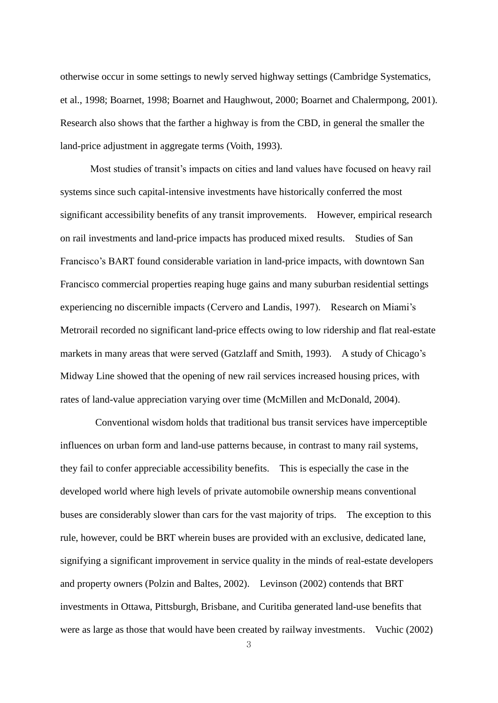otherwise occur in some settings to newly served highway settings (Cambridge Systematics, et al., 1998; Boarnet, 1998; Boarnet and Haughwout, 2000; Boarnet and Chalermpong, 2001). Research also shows that the farther a highway is from the CBD, in general the smaller the land-price adjustment in aggregate terms (Voith, 1993).

Most studies of transit's impacts on cities and land values have focused on heavy rail systems since such capital-intensive investments have historically conferred the most significant accessibility benefits of any transit improvements. However, empirical research on rail investments and land-price impacts has produced mixed results. Studies of San Francisco's BART found considerable variation in land-price impacts, with downtown San Francisco commercial properties reaping huge gains and many suburban residential settings experiencing no discernible impacts (Cervero and Landis, 1997). Research on Miami's Metrorail recorded no significant land-price effects owing to low ridership and flat real-estate markets in many areas that were served (Gatzlaff and Smith, 1993). A study of Chicago's Midway Line showed that the opening of new rail services increased housing prices, with rates of land-value appreciation varying over time (McMillen and McDonald, 2004).

Conventional wisdom holds that traditional bus transit services have imperceptible influences on urban form and land-use patterns because, in contrast to many rail systems, they fail to confer appreciable accessibility benefits. This is especially the case in the developed world where high levels of private automobile ownership means conventional buses are considerably slower than cars for the vast majority of trips. The exception to this rule, however, could be BRT wherein buses are provided with an exclusive, dedicated lane, signifying a significant improvement in service quality in the minds of real-estate developers and property owners (Polzin and Baltes, 2002). Levinson (2002) contends that BRT investments in Ottawa, Pittsburgh, Brisbane, and Curitiba generated land-use benefits that were as large as those that would have been created by railway investments. Vuchic (2002)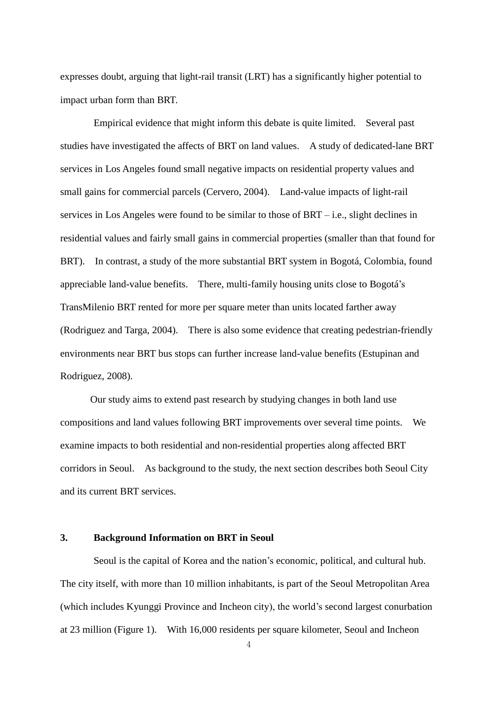expresses doubt, arguing that light-rail transit (LRT) has a significantly higher potential to impact urban form than BRT.

Empirical evidence that might inform this debate is quite limited. Several past studies have investigated the affects of BRT on land values. A study of dedicated-lane BRT services in Los Angeles found small negative impacts on residential property values and small gains for commercial parcels (Cervero, 2004). Land-value impacts of light-rail services in Los Angeles were found to be similar to those of BRT – i.e., slight declines in residential values and fairly small gains in commercial properties (smaller than that found for BRT). In contrast, a study of the more substantial BRT system in Bogotá, Colombia, found appreciable land-value benefits. There, multi-family housing units close to Bogotá's TransMilenio BRT rented for more per square meter than units located farther away (Rodriguez and Targa, 2004). There is also some evidence that creating pedestrian-friendly environments near BRT bus stops can further increase land-value benefits (Estupinan and Rodriguez, 2008).

Our study aims to extend past research by studying changes in both land use compositions and land values following BRT improvements over several time points. We examine impacts to both residential and non-residential properties along affected BRT corridors in Seoul. As background to the study, the next section describes both Seoul City and its current BRT services.

## **3. Background Information on BRT in Seoul**

Seoul is the capital of Korea and the nation's economic, political, and cultural hub. The city itself, with more than 10 million inhabitants, is part of the Seoul Metropolitan Area (which includes Kyunggi Province and Incheon city), the world's second largest conurbation at 23 million (Figure 1). With 16,000 residents per square kilometer, Seoul and Incheon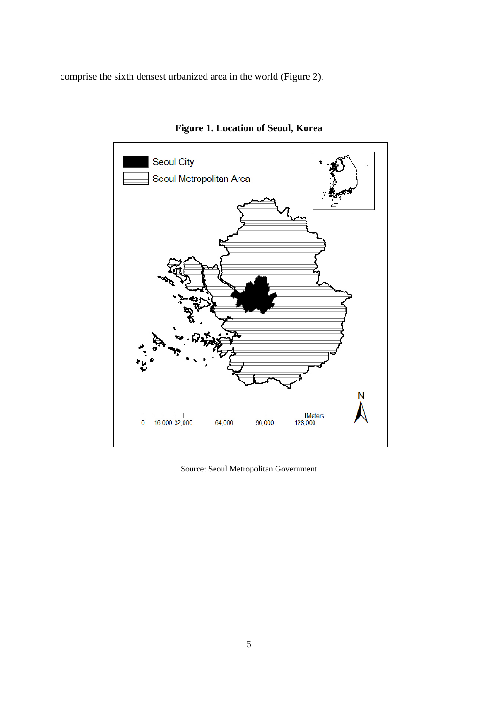comprise the sixth densest urbanized area in the world (Figure 2).



**Figure 1. Location of Seoul, Korea**

Source: Seoul Metropolitan Government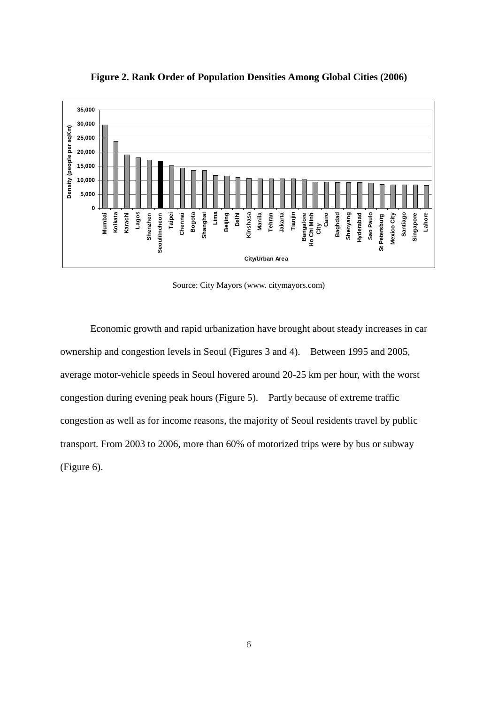

**Figure 2. Rank Order of Population Densities Among Global Cities (2006)**

Source: City Mayors (www. citymayors.com)

Economic growth and rapid urbanization have brought about steady increases in car ownership and congestion levels in Seoul (Figures 3 and 4). Between 1995 and 2005, average motor-vehicle speeds in Seoul hovered around 20-25 km per hour, with the worst congestion during evening peak hours (Figure 5). Partly because of extreme traffic congestion as well as for income reasons, the majority of Seoul residents travel by public transport. From 2003 to 2006, more than 60% of motorized trips were by bus or subway (Figure 6).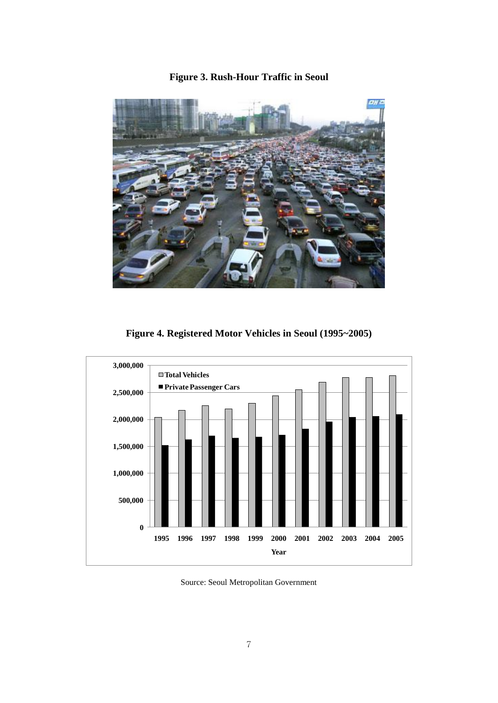# **Figure 3. Rush-Hour Traffic in Seoul**



**Figure 4. Registered Motor Vehicles in Seoul (1995~2005)**



Source: Seoul Metropolitan Government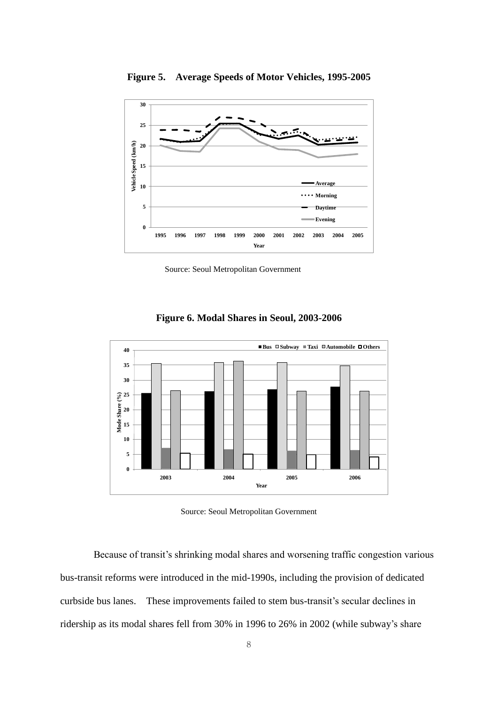

**Figure 5. Average Speeds of Motor Vehicles, 1995-2005**

Source: Seoul Metropolitan Government



**Figure 6. Modal Shares in Seoul, 2003-2006**

Source: Seoul Metropolitan Government

Because of transit's shrinking modal shares and worsening traffic congestion various bus-transit reforms were introduced in the mid-1990s, including the provision of dedicated curbside bus lanes. These improvements failed to stem bus-transit's secular declines in ridership as its modal shares fell from 30% in 1996 to 26% in 2002 (while subway's share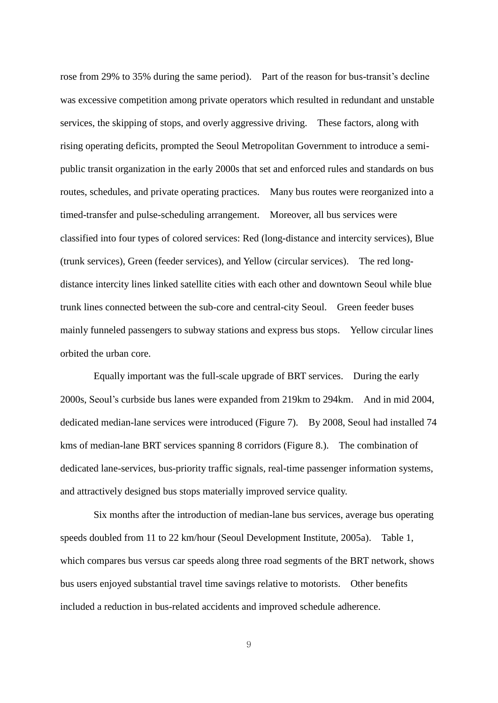rose from 29% to 35% during the same period). Part of the reason for bus-transit's decline was excessive competition among private operators which resulted in redundant and unstable services, the skipping of stops, and overly aggressive driving. These factors, along with rising operating deficits, prompted the Seoul Metropolitan Government to introduce a semipublic transit organization in the early 2000s that set and enforced rules and standards on bus routes, schedules, and private operating practices. Many bus routes were reorganized into a timed-transfer and pulse-scheduling arrangement. Moreover, all bus services were classified into four types of colored services: Red (long-distance and intercity services), Blue (trunk services), Green (feeder services), and Yellow (circular services). The red longdistance intercity lines linked satellite cities with each other and downtown Seoul while blue trunk lines connected between the sub-core and central-city Seoul. Green feeder buses mainly funneled passengers to subway stations and express bus stops. Yellow circular lines orbited the urban core.

Equally important was the full-scale upgrade of BRT services. During the early 2000s, Seoul's curbside bus lanes were expanded from 219km to 294km. And in mid 2004, dedicated median-lane services were introduced (Figure 7). By 2008, Seoul had installed 74 kms of median-lane BRT services spanning 8 corridors (Figure 8.). The combination of dedicated lane-services, bus-priority traffic signals, real-time passenger information systems, and attractively designed bus stops materially improved service quality.

Six months after the introduction of median-lane bus services, average bus operating speeds doubled from 11 to 22 km/hour (Seoul Development Institute, 2005a). Table 1, which compares bus versus car speeds along three road segments of the BRT network, shows bus users enjoyed substantial travel time savings relative to motorists. Other benefits included a reduction in bus-related accidents and improved schedule adherence.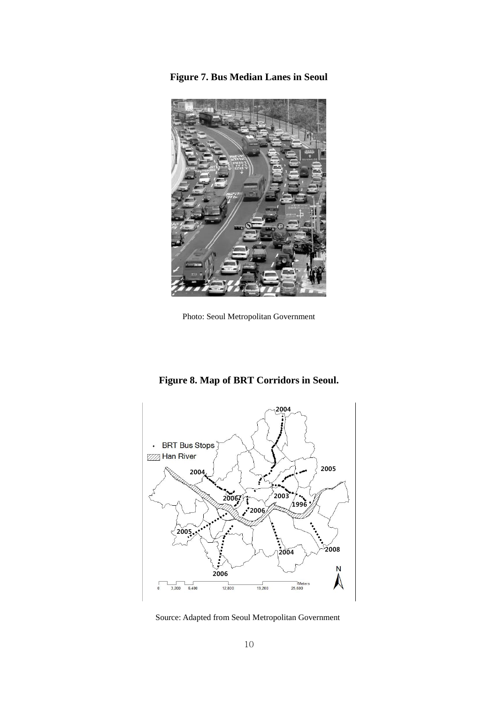**Figure 7. Bus Median Lanes in Seoul**



Photo: Seoul Metropolitan Government



**Figure 8. Map of BRT Corridors in Seoul.** 

Source: Adapted from Seoul Metropolitan Government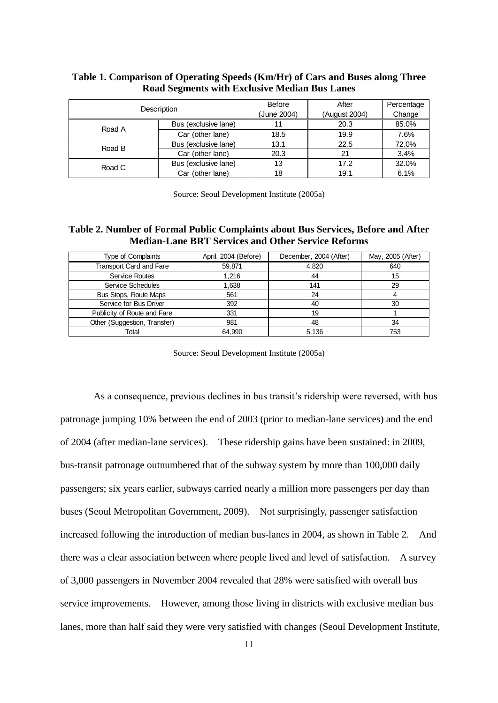|        | Description          | <b>Before</b><br>(June 2004) | After<br>(August 2004) | Percentage<br>Change |
|--------|----------------------|------------------------------|------------------------|----------------------|
|        |                      |                              |                        |                      |
| Road A | Bus (exclusive lane) | 11                           | 20.3                   | 85.0%                |
|        | Car (other lane)     | 18.5                         | 19.9                   | 7.6%                 |
| Road B | Bus (exclusive lane) | 13.1                         | 22.5                   | 72.0%                |
|        | Car (other lane)     | 20.3                         | 21                     | 3.4%                 |
| Road C | Bus (exclusive lane) | 13                           | 17.2                   | 32.0%                |
|        | Car (other lane)     | 18                           | 19.1                   | 6.1%                 |

## **Table 1. Comparison of Operating Speeds (Km/Hr) of Cars and Buses along Three Road Segments with Exclusive Median Bus Lanes**

Source: Seoul Development Institute (2005a)

## **Table 2. Number of Formal Public Complaints about Bus Services, Before and After Median-Lane BRT Services and Other Service Reforms**

| <b>Type of Complaints</b>      | April, 2004 (Before) | December, 2004 (After) | May, 2005 (After) |
|--------------------------------|----------------------|------------------------|-------------------|
| <b>Transport Card and Fare</b> | 59,871               | 4,820                  | 640               |
| Service Routes                 | 1,216                | 44                     | 15                |
| Service Schedules              | 1,638                | 141                    | 29                |
| Bus Stops, Route Maps          | 561                  | 24                     |                   |
| Service for Bus Driver         | 392                  | 40                     | 30                |
| Publicity of Route and Fare    | 331                  | 19                     |                   |
| Other (Suggestion, Transfer)   | 981                  | 48                     | 34                |
| Total                          | 64.990               | 5.136                  | 753               |

Source: Seoul Development Institute (2005a)

As a consequence, previous declines in bus transit's ridership were reversed, with bus patronage jumping 10% between the end of 2003 (prior to median-lane services) and the end of 2004 (after median-lane services). These ridership gains have been sustained: in 2009, bus-transit patronage outnumbered that of the subway system by more than 100,000 daily passengers; six years earlier, subways carried nearly a million more passengers per day than buses (Seoul Metropolitan Government, 2009). Not surprisingly, passenger satisfaction increased following the introduction of median bus-lanes in 2004, as shown in Table 2. And there was a clear association between where people lived and level of satisfaction. A survey of 3,000 passengers in November 2004 revealed that 28% were satisfied with overall bus service improvements. However, among those living in districts with exclusive median bus lanes, more than half said they were very satisfied with changes (Seoul Development Institute,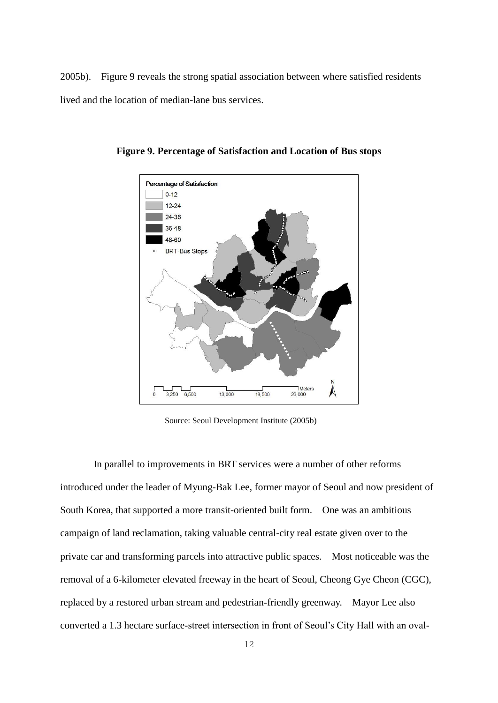2005b). Figure 9 reveals the strong spatial association between where satisfied residents lived and the location of median-lane bus services.



**Figure 9. Percentage of Satisfaction and Location of Bus stops**

Source: Seoul Development Institute (2005b)

In parallel to improvements in BRT services were a number of other reforms introduced under the leader of Myung-Bak Lee, former mayor of Seoul and now president of South Korea, that supported a more transit-oriented built form. One was an ambitious campaign of land reclamation, taking valuable central-city real estate given over to the private car and transforming parcels into attractive public spaces. Most noticeable was the removal of a 6-kilometer elevated freeway in the heart of Seoul, Cheong Gye Cheon (CGC), replaced by a restored urban stream and pedestrian-friendly greenway. Mayor Lee also converted a 1.3 hectare surface-street intersection in front of Seoul's City Hall with an oval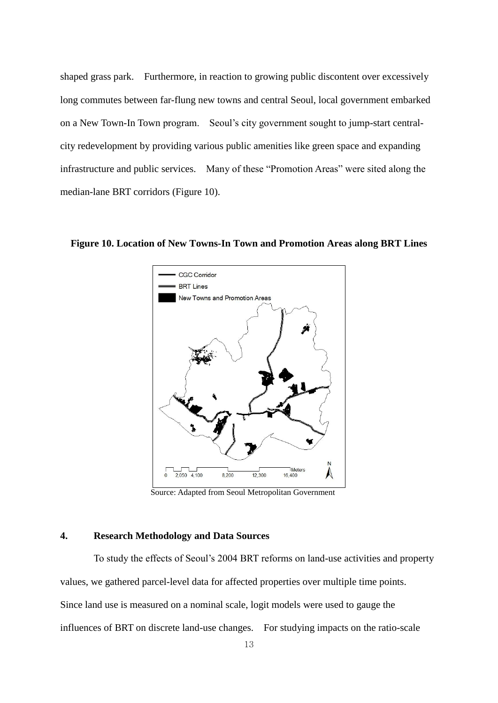shaped grass park. Furthermore, in reaction to growing public discontent over excessively long commutes between far-flung new towns and central Seoul, local government embarked on a New Town-In Town program. Seoul's city government sought to jump-start centralcity redevelopment by providing various public amenities like green space and expanding infrastructure and public services. Many of these "Promotion Areas" were sited along the median-lane BRT corridors (Figure 10).

**Figure 10. Location of New Towns-In Town and Promotion Areas along BRT Lines**



Source: Adapted from Seoul Metropolitan Government

## **4. Research Methodology and Data Sources**

To study the effects of Seoul's 2004 BRT reforms on land-use activities and property values, we gathered parcel-level data for affected properties over multiple time points. Since land use is measured on a nominal scale, logit models were used to gauge the influences of BRT on discrete land-use changes. For studying impacts on the ratio-scale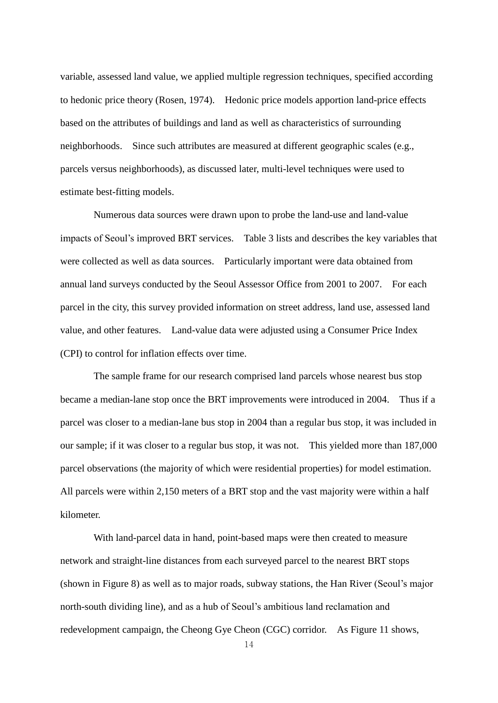variable, assessed land value, we applied multiple regression techniques, specified according to hedonic price theory (Rosen, 1974). Hedonic price models apportion land-price effects based on the attributes of buildings and land as well as characteristics of surrounding neighborhoods. Since such attributes are measured at different geographic scales (e.g., parcels versus neighborhoods), as discussed later, multi-level techniques were used to estimate best-fitting models.

Numerous data sources were drawn upon to probe the land-use and land-value impacts of Seoul's improved BRT services. Table 3 lists and describes the key variables that were collected as well as data sources. Particularly important were data obtained from annual land surveys conducted by the Seoul Assessor Office from 2001 to 2007. For each parcel in the city, this survey provided information on street address, land use, assessed land value, and other features. Land-value data were adjusted using a Consumer Price Index (CPI) to control for inflation effects over time.

The sample frame for our research comprised land parcels whose nearest bus stop became a median-lane stop once the BRT improvements were introduced in 2004. Thus if a parcel was closer to a median-lane bus stop in 2004 than a regular bus stop, it was included in our sample; if it was closer to a regular bus stop, it was not. This yielded more than 187,000 parcel observations (the majority of which were residential properties) for model estimation. All parcels were within 2,150 meters of a BRT stop and the vast majority were within a half kilometer.

With land-parcel data in hand, point-based maps were then created to measure network and straight-line distances from each surveyed parcel to the nearest BRT stops (shown in Figure 8) as well as to major roads, subway stations, the Han River (Seoul's major north-south dividing line), and as a hub of Seoul's ambitious land reclamation and redevelopment campaign, the Cheong Gye Cheon (CGC) corridor. As Figure 11 shows,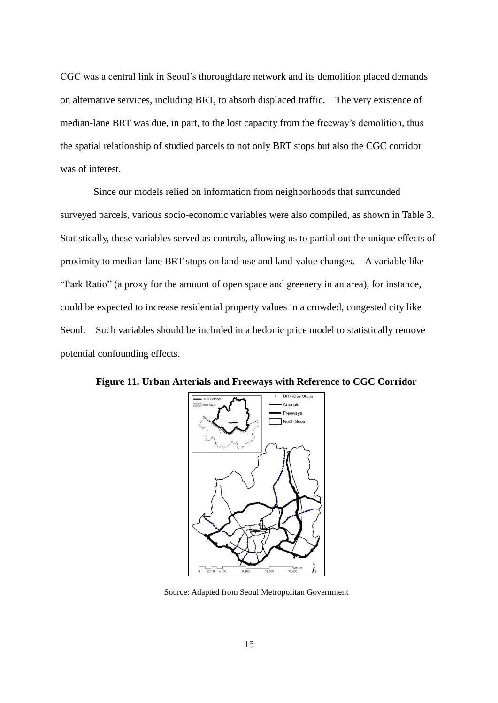CGC was a central link in Seoul's thoroughfare network and its demolition placed demands on alternative services, including BRT, to absorb displaced traffic. The very existence of median-lane BRT was due, in part, to the lost capacity from the freeway's demolition, thus the spatial relationship of studied parcels to not only BRT stops but also the CGC corridor was of interest.

Since our models relied on information from neighborhoods that surrounded surveyed parcels, various socio-economic variables were also compiled, as shown in Table 3. Statistically, these variables served as controls, allowing us to partial out the unique effects of proximity to median-lane BRT stops on land-use and land-value changes. A variable like "Park Ratio" (a proxy for the amount of open space and greenery in an area), for instance, could be expected to increase residential property values in a crowded, congested city like Seoul. Such variables should be included in a hedonic price model to statistically remove potential confounding effects.



**Figure 11. Urban Arterials and Freeways with Reference to CGC Corridor**

Source: Adapted from Seoul Metropolitan Government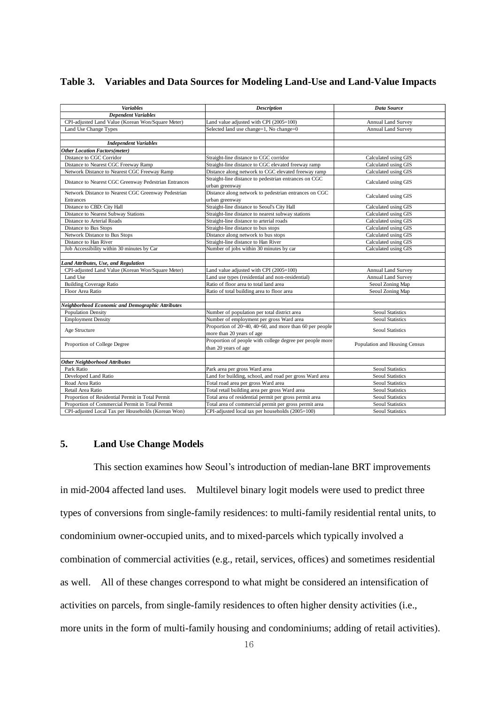|  |  |  |  |  | Table 3. Variables and Data Sources for Modeling Land-Use and Land-Value Impacts |
|--|--|--|--|--|----------------------------------------------------------------------------------|
|--|--|--|--|--|----------------------------------------------------------------------------------|

| <b>Variables</b>                                      | <b>Description</b>                                       | Data Source                   |
|-------------------------------------------------------|----------------------------------------------------------|-------------------------------|
| <b>Dependent Variables</b>                            |                                                          |                               |
| CPI-adjusted Land Value (Korean Won/Square Meter)     | Land value adjusted with CPI (2005=100)                  | Annual Land Survey            |
| Land Use Change Types                                 | Selected land use change=1, No change=0                  | <b>Annual Land Survey</b>     |
|                                                       |                                                          |                               |
| <b>Independent Variables</b>                          |                                                          |                               |
| <b>Other Location Factors (meter)</b>                 |                                                          |                               |
| Distance to CGC Corridor                              | Straight-line distance to CGC corridor                   | Calculated using GIS          |
| Distance to Nearest CGC Freeway Ramp                  | Straight-line distance to CGC elevated freeway ramp      | Calculated using GIS          |
| Network Distance to Nearest CGC Freeway Ramp          | Distance along network to CGC elevated freeway ramp      | Calculated using GIS          |
|                                                       | Straight-line distance to pedestrian entrances on CGC    |                               |
| Distance to Nearest CGC Greenway Pedestrian Entrances | urban greenway                                           | Calculated using GIS          |
| Network Distance to Nearest CGC Greenway Pedestrian   | Distance along network to pedestrian entrances on CGC    | Calculated using GIS          |
| <b>Entrances</b>                                      | urban greenway                                           |                               |
| Distance to CBD: City Hall                            | Straight-line distance to Seoul's City Hall              | Calculated using GIS          |
| Distance to Nearest Subway Stations                   | Straight-line distance to nearest subway stations        | Calculated using GIS          |
| Distance to Arterial Roads                            | Straight-line distance to arterial roads                 | Calculated using GIS          |
| Distance to Bus Stops                                 | Straight-line distance to bus stops                      | Calculated using GIS          |
| Network Distance to Bus Stops                         | Distance along network to bus stops                      | Calculated using GIS          |
| Distance to Han River                                 | Straight-line distance to Han River                      | Calculated using GIS          |
| Job Accessibility within 30 minutes by Car            | Number of jobs within 30 minutes by car                  | Calculated using GIS          |
|                                                       |                                                          |                               |
| Land Attributes, Use, and Regulation                  |                                                          |                               |
| CPI-adjusted Land Value (Korean Won/Square Meter)     | Land value adjusted with CPI (2005=100)                  | <b>Annual Land Survey</b>     |
| Land Use                                              | Land use types (residential and non-residential)         | Annual Land Survey            |
| <b>Building Coverage Ratio</b>                        | Ratio of floor area to total land area                   | Seoul Zoning Map              |
| Floor Area Ratio                                      | Ratio of total building area to floor area               | Seoul Zoning Map              |
|                                                       |                                                          |                               |
| Neighborhood Economic and Demographic Attributes      |                                                          |                               |
| <b>Population Density</b>                             | Number of population per total district area             | <b>Seoul Statistics</b>       |
| <b>Employment Density</b>                             | Number of employment per gross Ward area                 | <b>Seoul Statistics</b>       |
| Age Structure                                         | Proportion of 20~40, 40~60, and more than 60 per people  | <b>Seoul Statistics</b>       |
|                                                       | more than 20 years of age                                |                               |
| Proportion of College Degree                          | Proportion of people with college degree per people more | Population and Housing Census |
|                                                       | than 20 years of age                                     |                               |
|                                                       |                                                          |                               |
| <b>Other Neighborhood Attributes</b>                  |                                                          |                               |
| Park Ratio                                            | Park area per gross Ward area                            | <b>Seoul Statistics</b>       |
| Developed Land Ratio                                  | Land for building, school, and road per gross Ward area  | <b>Seoul Statistics</b>       |
| Road Area Ratio                                       | Total road area per gross Ward area                      | <b>Seoul Statistics</b>       |
| Retail Area Ratio                                     | Total retail building area per gross Ward area           | <b>Seoul Statistics</b>       |
| Proportion of Residential Permit in Total Permit      | Total area of residential permit per gross permit area   | <b>Seoul Statistics</b>       |
| Proportion of Commercial Permit in Total Permit       | Total area of commercial permit per gross permit area    | <b>Seoul Statistics</b>       |
| CPI-adjusted Local Tax per Households (Korean Won)    | CPI-adjusted local tax per households (2005=100)         | <b>Seoul Statistics</b>       |

## **5. Land Use Change Models**

This section examines how Seoul's introduction of median-lane BRT improvements in mid-2004 affected land uses. Multilevel binary logit models were used to predict three types of conversions from single-family residences: to multi-family residential rental units, to condominium owner-occupied units, and to mixed-parcels which typically involved a combination of commercial activities (e.g., retail, services, offices) and sometimes residential as well. All of these changes correspond to what might be considered an intensification of activities on parcels, from single-family residences to often higher density activities (i.e., more units in the form of multi-family housing and condominiums; adding of retail activities).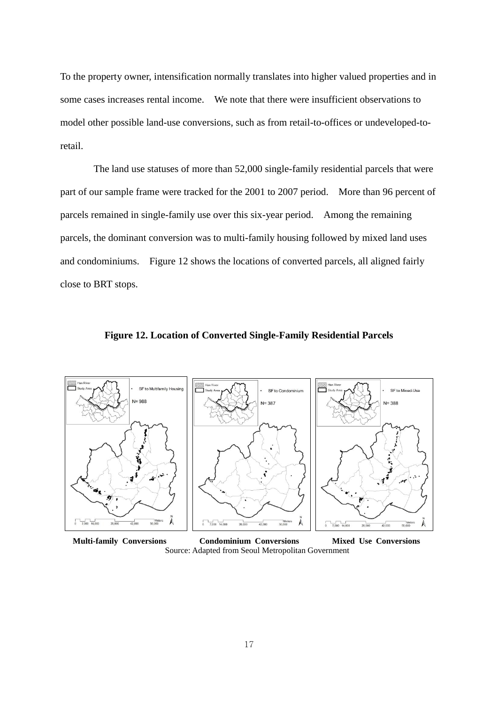To the property owner, intensification normally translates into higher valued properties and in some cases increases rental income. We note that there were insufficient observations to model other possible land-use conversions, such as from retail-to-offices or undeveloped-toretail.

The land use statuses of more than 52,000 single-family residential parcels that were part of our sample frame were tracked for the 2001 to 2007 period. More than 96 percent of parcels remained in single-family use over this six-year period. Among the remaining parcels, the dominant conversion was to multi-family housing followed by mixed land uses and condominiums. Figure 12 shows the locations of converted parcels, all aligned fairly close to BRT stops.



**Figure 12. Location of Converted Single-Family Residential Parcels**

 **Multi-family Conversions Condominium Conversions Mixed Use Conversions** Source: Adapted from Seoul Metropolitan Government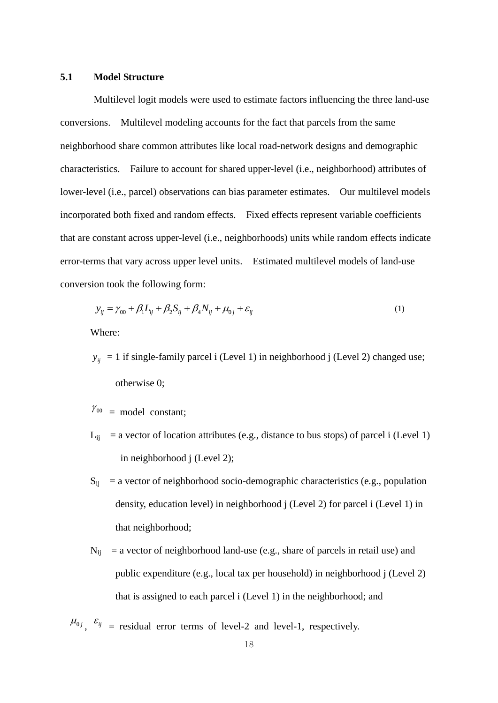#### **5.1 Model Structure**

Multilevel logit models were used to estimate factors influencing the three land-use conversions. Multilevel modeling accounts for the fact that parcels from the same neighborhood share common attributes like local road-network designs and demographic characteristics. Failure to account for shared upper-level (i.e., neighborhood) attributes of lower-level (i.e., parcel) observations can bias parameter estimates. Our multilevel models incorporated both fixed and random effects. Fixed effects represent variable coefficients that are constant across upper-level (i.e., neighborhoods) units while random effects indicate error-terms that vary across upper level units. Estimated multilevel models of land-use conversion took the following form:

$$
y_{ij} = \gamma_{00} + \beta_1 L_{ij} + \beta_2 S_{ij} + \beta_4 N_{ij} + \mu_{0j} + \varepsilon_{ij}
$$
 (1)

Where:

- $y_{ij} = 1$  if single-family parcel i (Level 1) in neighborhood j (Level 2) changed use; otherwise 0;
- $\gamma_{00}$  = model constant;
- $L_{ii}$  = a vector of location attributes (e.g., distance to bus stops) of parcel i (Level 1) in neighborhood j (Level 2);
- $S_{ii}$  = a vector of neighborhood socio-demographic characteristics (e.g., population density, education level) in neighborhood j (Level 2) for parcel i (Level 1) in that neighborhood;
- $N_{ii}$  = a vector of neighborhood land-use (e.g., share of parcels in retail use) and public expenditure (e.g., local tax per household) in neighborhood j (Level 2) that is assigned to each parcel i (Level 1) in the neighborhood; and

 $\mu_{0j}$ ,  $\varepsilon_{ij}$  = residual error terms of level-2 and level-1, respectively.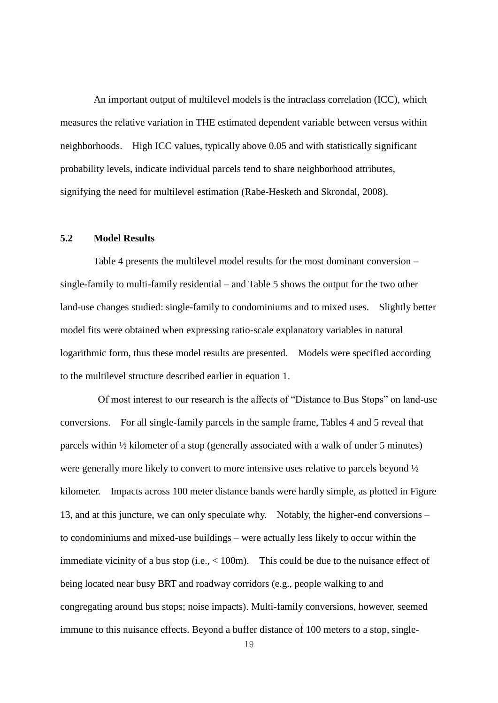An important output of multilevel models is the intraclass correlation (ICC), which measures the relative variation in THE estimated dependent variable between versus within neighborhoods. High ICC values, typically above 0.05 and with statistically significant probability levels, indicate individual parcels tend to share neighborhood attributes, signifying the need for multilevel estimation (Rabe-Hesketh and Skrondal, 2008).

## **5.2 Model Results**

Table 4 presents the multilevel model results for the most dominant conversion – single-family to multi-family residential – and Table 5 shows the output for the two other land-use changes studied: single-family to condominiums and to mixed uses. Slightly better model fits were obtained when expressing ratio-scale explanatory variables in natural logarithmic form, thus these model results are presented. Models were specified according to the multilevel structure described earlier in equation 1.

 Of most interest to our research is the affects of "Distance to Bus Stops" on land-use conversions. For all single-family parcels in the sample frame, Tables 4 and 5 reveal that parcels within ½ kilometer of a stop (generally associated with a walk of under 5 minutes) were generally more likely to convert to more intensive uses relative to parcels beyond ½ kilometer. Impacts across 100 meter distance bands were hardly simple, as plotted in Figure 13, and at this juncture, we can only speculate why. Notably, the higher-end conversions – to condominiums and mixed-use buildings – were actually less likely to occur within the immediate vicinity of a bus stop (i.e., < 100m). This could be due to the nuisance effect of being located near busy BRT and roadway corridors (e.g., people walking to and congregating around bus stops; noise impacts). Multi-family conversions, however, seemed immune to this nuisance effects. Beyond a buffer distance of 100 meters to a stop, single-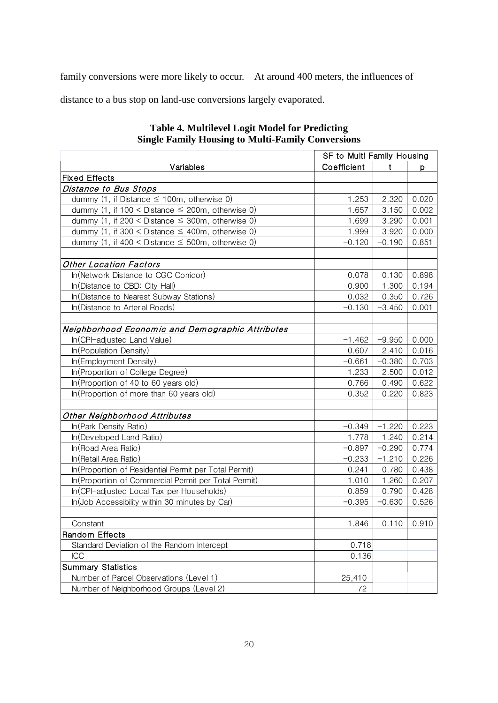family conversions were more likely to occur. At around 400 meters, the influences of

distance to a bus stop on land-use conversions largely evaporated.

| <b>Single Family Housing to Multi-Family Conversions</b> |                            |          |       |
|----------------------------------------------------------|----------------------------|----------|-------|
|                                                          | SF to Multi Family Housing |          |       |
| Variables                                                | Coefficient                | t        | р     |
| <b>Fixed Effects</b>                                     |                            |          |       |
| Distance to Bus Stops                                    |                            |          |       |
| dummy (1, if Distance $\leq$ 100m, otherwise 0)          | 1.253                      | 2.320    | 0.020 |
| dummy (1, if 100 < Distance $\leq$ 200m, otherwise 0)    | 1.657                      | 3.150    | 0.002 |
| dummy (1, if 200 < Distance $\leq$ 300m, otherwise 0)    | 1.699                      | 3.290    | 0.001 |
| dummy (1, if 300 < Distance $\leq$ 400m, otherwise 0)    | 1.999                      | 3.920    | 0.000 |
| dummy (1, if 400 < Distance $\leq$ 500m, otherwise 0)    | $-0.120$                   | $-0.190$ | 0.851 |
| <b>Other Location Factors</b>                            |                            |          |       |
| In(Network Distance to CGC Corridor)                     | 0.078                      | 0.130    | 0.898 |
| In(Distance to CBD: City Hall)                           | 0.900                      | 1.300    | 0.194 |
| In(Distance to Nearest Subway Stations)                  | 0.032                      | 0.350    | 0.726 |
| In(Distance to Arterial Roads)                           | $-0.130$                   | $-3.450$ | 0.001 |
| Neighborhood Economic and Demographic Attributes         |                            |          |       |
| In(CPI-adjusted Land Value)                              | $-1.462$                   | $-9.950$ | 0.000 |
| In(Population Density)                                   | 0.607                      | 2.410    | 0.016 |
| In(Employment Density)                                   | $-0.661$                   | $-0.380$ | 0.703 |
| In(Proportion of College Degree)                         | 1.233                      | 2.500    | 0.012 |
| In(Proportion of 40 to 60 years old)                     | 0.766                      | 0.490    | 0.622 |
| In(Proportion of more than 60 years old)                 | 0.352                      | 0.220    | 0.823 |
|                                                          |                            |          |       |
| Other Neighborhood Attributes                            |                            |          |       |
| In(Park Density Ratio)                                   | $-0.349$                   | $-1.220$ | 0.223 |
| In(Developed Land Ratio)                                 | 1.778                      | 1.240    | 0.214 |
| In(Road Area Ratio)                                      | $-0.897$                   | $-0.290$ | 0.774 |
| In (Retail Area Ratio)                                   | $-0.233$                   | $-1.210$ | 0.226 |
| In(Proportion of Residential Permit per Total Permit)    | 0.241                      | 0.780    | 0.438 |
| In(Proportion of Commercial Permit per Total Permit)     | 1.010                      | 1.260    | 0.207 |
| In(CPI-adjusted Local Tax per Households)                | 0.859                      | 0.790    | 0.428 |
| In(Job Accessibility within 30 minutes by Car)           | $-0.395$                   | $-0.630$ | 0.526 |
| Constant                                                 | 1.846                      | 0.110    | 0.910 |
| <b>Random Effects</b>                                    |                            |          |       |
| Standard Deviation of the Random Intercept               | 0.718                      |          |       |
| ICC                                                      | 0.136                      |          |       |
| <b>Summary Statistics</b>                                |                            |          |       |
| Number of Parcel Observations (Level 1)                  | 25,410                     |          |       |
| Number of Neighborhood Groups (Level 2)                  | 72                         |          |       |

## **Table 4. Multilevel Logit Model for Predicting Single Family Housing to Multi-Family Conversions**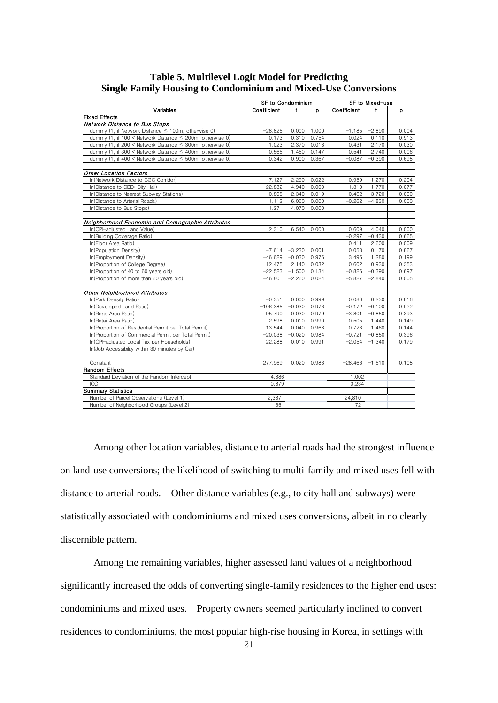|                                                                    | SF to Condominium |          |       | SF to Mixed-use |          |       |  |
|--------------------------------------------------------------------|-------------------|----------|-------|-----------------|----------|-------|--|
| Variables                                                          | Coefficient       | t        | D     | Coefficient     | t        | p     |  |
| <b>Fixed Effects</b>                                               |                   |          |       |                 |          |       |  |
| Network Distance to Bus Stops                                      |                   |          |       |                 |          |       |  |
| dummy (1, if Network Distance $\leq$ 100m, otherwise 0)            | $-28.826$         | 0.000    | 1.000 | $-1.185$        | $-2.890$ | 0.004 |  |
| dummy (1, if $100 \leq$ Network Distance $\leq$ 200m, otherwise 0) | 0.173             | 0.310    | 0.754 | 0.024           | 0.110    | 0.913 |  |
| dummy (1, if 200 < Network Distance $\leq$ 300m, otherwise 0)      | 1.023             | 2.370    | 0.018 | 0.431           | 2.170    | 0.030 |  |
| dummy (1, if 300 < Network Distance $\leq$ 400m, otherwise 0)      | 0.565             | 1.450    | 0.147 | 0.541           | 2.740    | 0.006 |  |
| dummy (1, if $400 <$ Network Distance $\leq 500$ m, otherwise 0)   | 0.342             | 0.900    | 0.367 | $-0.087$        | $-0.390$ | 0.698 |  |
| Other Location Factors                                             |                   |          |       |                 |          |       |  |
| In(Network Distance to CGC Corridor)                               | 7.127             | 2.290    | 0.022 | 0.959           | 1.270    | 0.204 |  |
| In(Distance to CBD: City Hall)                                     | $-22.832$         | $-4.940$ | 0.000 | $-1.310$        | $-1.770$ | 0.077 |  |
| In(Distance to Nearest Subway Stations)                            | 0.805             | 2.340    | 0.019 | 0.462           | 3.720    | 0.000 |  |
| In(Distance to Arterial Roads)                                     | 1.112             | 6.060    | 0.000 | $-0.262$        | $-4.830$ | 0.000 |  |
| In(Distance to Bus Stops)                                          | 1.271             | 4.070    | 0.000 |                 |          |       |  |
| Neighborhood Economic and Demographic Attributes                   |                   |          |       |                 |          |       |  |
| In(CPI-adjusted Land Value)                                        | 2.310             | 6.540    | 0.000 | 0.609           | 4.040    | 0.000 |  |
| In(Building Coverage Ratio)                                        |                   |          |       | $-0.297$        | $-0.430$ | 0.665 |  |
| In(Floor Area Ratio)                                               |                   |          |       | 0.411           | 2.600    | 0.009 |  |
| In(Population Density)                                             | $-7.614$          | $-3.230$ | 0.001 | 0.053           | 0.170    | 0.867 |  |
| In(Employment Density)                                             | $-46.629$         | $-0.030$ | 0.976 | 3.495           | 1.280    | 0.199 |  |
| In(Proportion of College Degree)                                   | 12.475            | 2.140    | 0.032 | 0.602           | 0.930    | 0.353 |  |
| In(Proportion of 40 to 60 years old)                               | $-22.523$         | $-1.500$ | 0.134 | $-0.826$        | $-0.390$ | 0.697 |  |
| In(Proportion of more than 60 years old)                           | $-46.801$         | $-2.260$ | 0.024 | $-5.827$        | $-2.840$ | 0.005 |  |
| Other Neighborhood Attributes                                      |                   |          |       |                 |          |       |  |
| In(Park Density Ratio)                                             | $-0.351$          | 0.000    | 0.999 | 0.080           | 0.230    | 0.816 |  |
| In(Developed Land Ratio)                                           | $-106.385$        | $-0.030$ | 0.976 | $-0.172$        | $-0.100$ | 0.922 |  |
| In(Road Area Ratio)                                                | 95.790            | 0.030    | 0.979 | $-3.801$        | $-0.850$ | 0.393 |  |
| In (Retail Area Ratio)                                             | 2.598             | 0.010    | 0.990 | 0.505           | 1.440    | 0.149 |  |
| In(Proportion of Residential Permit per Total Permit)              | 13.544            | 0.040    | 0.968 | 0.723           | 1.460    | 0.144 |  |
| In(Proportion of Commercial Permit per Total Permit)               | $-20.038$         | $-0.020$ | 0.984 | $-0.721$        | $-0.850$ | 0.396 |  |
| In(CPI-adjusted Local Tax per Households)                          | 22.288            | 0.010    | 0.991 | $-2.054$        | $-1.340$ | 0.179 |  |
| In(Job Accessibility within 30 minutes by Car)                     |                   |          |       |                 |          |       |  |
| Constant                                                           | 277.969           | 0.020    | 0.983 | $-28.466$       | $-1.610$ | 0.108 |  |
| Random Effects                                                     |                   |          |       |                 |          |       |  |
| Standard Deviation of the Random Intercept                         | 4.886             |          |       | 1.002           |          |       |  |
| ICC                                                                | 0.879             |          |       | 0.234           |          |       |  |
| <b>Summary Statistics</b>                                          |                   |          |       |                 |          |       |  |
| Number of Parcel Observations (Level 1)                            | 2,387             |          |       | 24,810          |          |       |  |
| Number of Neighborhood Groups (Level 2)                            | 65                |          |       | 72              |          |       |  |

# **Table 5. Multilevel Logit Model for Predicting Single Family Housing to Condominium and Mixed-Use Conversions** Model for Predicting<br>um and Mixed-Use Conversions<br>set to Condominium SF to Mixed-use

Among other location variables, distance to arterial roads had the strongest influence on land-use conversions; the likelihood of switching to multi-family and mixed uses fell with distance to arterial roads. Other distance variables (e.g., to city hall and subways) were statistically associated with condominiums and mixed uses conversions, albeit in no clearly discernible pattern.

Among the remaining variables, higher assessed land values of a neighborhood significantly increased the odds of converting single-family residences to the higher end uses: condominiums and mixed uses. Property owners seemed particularly inclined to convert residences to condominiums, the most popular high-rise housing in Korea, in settings with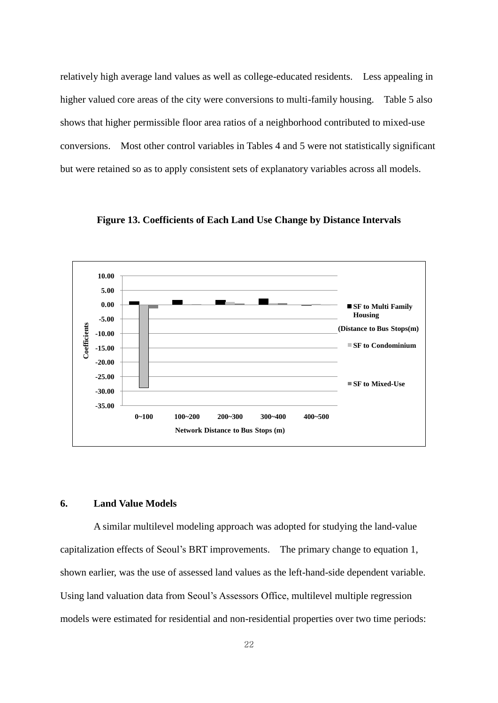relatively high average land values as well as college-educated residents. Less appealing in higher valued core areas of the city were conversions to multi-family housing. Table 5 also shows that higher permissible floor area ratios of a neighborhood contributed to mixed-use conversions. Most other control variables in Tables 4 and 5 were not statistically significant but were retained so as to apply consistent sets of explanatory variables across all models.



**Figure 13. Coefficients of Each Land Use Change by Distance Intervals**

#### **6. Land Value Models**

A similar multilevel modeling approach was adopted for studying the land-value capitalization effects of Seoul's BRT improvements. The primary change to equation 1, shown earlier, was the use of assessed land values as the left-hand-side dependent variable. Using land valuation data from Seoul's Assessors Office, multilevel multiple regression models were estimated for residential and non-residential properties over two time periods: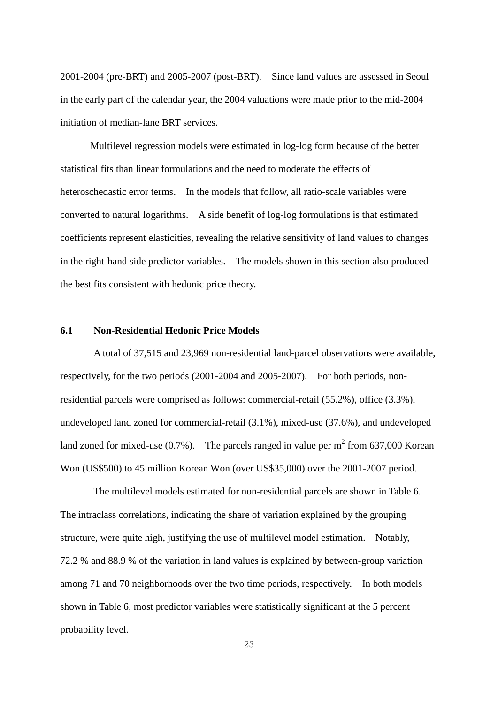2001-2004 (pre-BRT) and 2005-2007 (post-BRT). Since land values are assessed in Seoul in the early part of the calendar year, the 2004 valuations were made prior to the mid-2004 initiation of median-lane BRT services.

Multilevel regression models were estimated in log-log form because of the better statistical fits than linear formulations and the need to moderate the effects of heteroschedastic error terms. In the models that follow, all ratio-scale variables were converted to natural logarithms. A side benefit of log-log formulations is that estimated coefficients represent elasticities, revealing the relative sensitivity of land values to changes in the right-hand side predictor variables. The models shown in this section also produced the best fits consistent with hedonic price theory.

#### **6.1 Non-Residential Hedonic Price Models**

A total of 37,515 and 23,969 non-residential land-parcel observations were available, respectively, for the two periods (2001-2004 and 2005-2007). For both periods, nonresidential parcels were comprised as follows: commercial-retail (55.2%), office (3.3%), undeveloped land zoned for commercial-retail (3.1%), mixed-use (37.6%), and undeveloped land zoned for mixed-use (0.7%). The parcels ranged in value per  $m^2$  from 637,000 Korean Won (US\$500) to 45 million Korean Won (over US\$35,000) over the 2001-2007 period.

The multilevel models estimated for non-residential parcels are shown in Table 6. The intraclass correlations, indicating the share of variation explained by the grouping structure, were quite high, justifying the use of multilevel model estimation. Notably, 72.2 % and 88.9 % of the variation in land values is explained by between-group variation among 71 and 70 neighborhoods over the two time periods, respectively. In both models shown in Table 6, most predictor variables were statistically significant at the 5 percent probability level.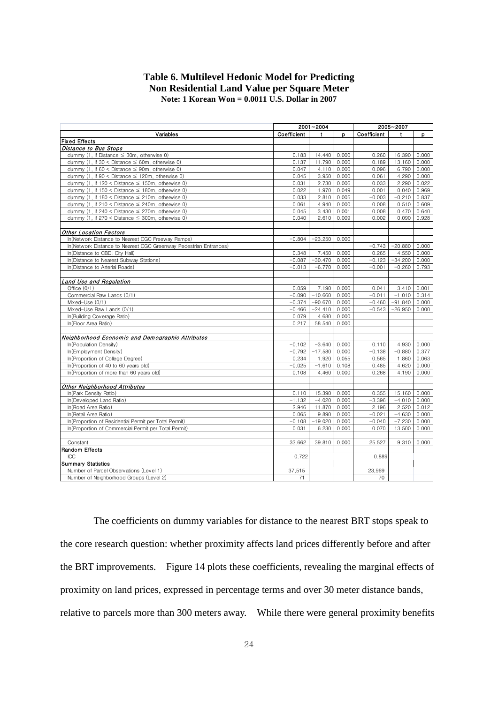### **Table 6. Multilevel Hedonic Model for Predicting Non Residential Land Value per Square Meter Note: 1 Korean Won = 0.0011 U.S. Dollar in 2007**

|                                                                   |                   | 2001~2004          |                |                   | 2005~2007          |                |
|-------------------------------------------------------------------|-------------------|--------------------|----------------|-------------------|--------------------|----------------|
| Variables                                                         | Coefficient       | t                  | p              | Coefficient       | t                  | p.             |
| <b>Fixed Effects</b><br>Distance to Bus Stops                     |                   |                    |                |                   |                    |                |
| dummy (1, if Distance $\leq$ 30m, otherwise 0)                    | 0.183             | 14.440             | 0.000          | 0.260             | 16.390             | 0.000          |
| dummy (1, if $30 <$ Distance $\leq$ 60m, otherwise 0)             | 0.137             | 11.790             | 0.000          | 0.189             | 13.160             | 0.000          |
| dummy (1, if $60 <$ Distance $\leq 90$ m, otherwise 0)            | 0.047             | 4.110              | 0.000          | 0.096             | 6.790              | 0.000          |
| dummy (1, if $90 <$ Distance $\leq$ 120m, otherwise 0)            | 0.045             | 3.950              | 0.000          | 0.061             | 4.290              | 0.000          |
| dummy (1, if $120 <$ Distance $\leq$ 150m, otherwise 0)           | 0.031             | 2.730              | 0.006          | 0.033             | 2.290              | 0.022          |
| dummy (1, if 150 < Distance ≤ 180m, otherwise 0)                  | 0.022             | 1.970              | 0.049          | 0.001             | 0.040              | 0.969          |
| dummy (1, if $180 <$ Distance $\leq$ 210m, otherwise 0)           | 0.033             | 2.810              | 0.005          | $-0.003$          | $-0.210$           | 0.837          |
| dummy (1, if $210 <$ Distance $\leq$ 240m, otherwise 0)           | 0.061             | 4.940              | 0.000          | 0.008             | 0.510              | 0.609          |
| dummy (1, if 240 < Distance $\leq$ 270m, otherwise 0)             | 0.045             | 3.430              | 0.001          | 0.008             | 0.470              | 0.640          |
| dummy (1, if $270 <$ Distance $\leq 300$ m, otherwise 0)          | 0.040             | 2.610              | 0.009          | 0.002             | 0.090              | 0.928          |
|                                                                   |                   |                    |                |                   |                    |                |
| <b>Other Location Factors</b>                                     |                   |                    |                |                   |                    |                |
| In(Network Distance to Nearest CGC Freeway Ramps)                 | $-0.804$          | $-23.250$          | 0.000          |                   |                    |                |
| In(Network Distance to Nearest CGC Greenway Pedestrian Entrances) |                   |                    |                | $-0.743$          | $-20.880$          | 0.000          |
| In(Distance to CBD: City Hall)                                    | 0.348             | 7.450              | 0.000          | 0.265             | 4.550              | 0.000          |
| In(Distance to Nearest Subway Stations)                           | $-0.087$          | $-30.470$          | 0.000          | $-0.123$          | $-34.200$          | 0.000          |
| In(Distance to Arterial Roads)                                    | $-0.013$          | $-6.770$           | 0.000          | $-0.001$          | $-0.260$           | 0.793          |
| Land Use and Regulation                                           |                   |                    |                |                   |                    |                |
| Office $(0/1)$                                                    | 0.059             | 7.190              | 0.000          | 0.041             | 3.410              | 0.001          |
| Commercial Raw Lands (0/1)                                        | $-0.090$          | $-10.660$          | 0.000          | $-0.011$          | $-1.010$           | 0.314          |
| Mixed-Use (0/1)                                                   | $-0.374$          | $-90.670$          | 0.000          | $-0.460$          | $-91.840$          | 0.000          |
| Mixed-Use Raw Lands (0/1)                                         | $-0.466$          | $-24.410$          | 0.000          | $-0.543$          | $-26.950$          | 0.000          |
| In(Building Coverage Ratio)                                       | 0.079             | 4.680              | 0.000          |                   |                    |                |
| In(Floor Area Ratio)                                              | 0.217             | 58.540             | 0.000          |                   |                    |                |
| Neighborhood Economic and Demographic Attributes                  |                   |                    |                |                   |                    |                |
| In(Population Density)                                            | $-0.102$          | $-3.640$           | 0.000          | 0.110             | 4.930              | 0.000          |
| In(Employment Density)                                            | $-0.792$          | $-17.580$          | 0.000          | $-0.138$          | $-0.880$           | 0.377          |
| In(Proportion of College Degree)                                  | 0.234             | 1.920              | 0.055          | 0.565             | 1.860              | 0.063          |
| In(Proportion of 40 to 60 years old)                              | $-0.025$          | $-1.610$           | 0.108          | 0.485             | 4.620              | 0.000          |
| In (Proportion of more than 60 years old)                         | 0.108             | 4.460              | 0.000          | 0.268             | 4.190              | 0.000          |
|                                                                   |                   |                    |                |                   |                    |                |
| Other Neighborhood Attributes                                     |                   |                    |                |                   |                    |                |
| In(Park Density Ratio)<br>In(Developed Land Ratio)                | 0.110<br>$-1.132$ | 15.390<br>$-4.020$ | 0.000<br>0.000 | 0.355<br>$-3.396$ | 15.160<br>$-4.010$ | 0.000<br>0.000 |
|                                                                   | 2.946             |                    |                |                   |                    |                |
| In(Road Area Ratio)<br>In(Retail Area Ratio)                      | 0.065             | 11.870<br>9.890    | 0.000<br>0.000 | 2.196<br>$-0.021$ | 2.520<br>$-4.630$  | 0.012<br>0.000 |
| In(Proportion of Residential Permit per Total Permit)             | $-0.108$          | $-19.020$          | 0.000          | $-0.040$          | $-7.230$           | 0.000          |
| In(Proportion of Commercial Permit per Total Permit)              | 0.031             | 6.230              | 0.000          | 0.070             | 13.500             | 0.000          |
|                                                                   |                   |                    |                |                   |                    |                |
| Constant                                                          | 33.662            | 39.810             | 0.000          | 25.527            | 9.310              | 0.000          |
| Random Effects                                                    |                   |                    |                |                   |                    |                |
| ICC                                                               | 0.722             |                    |                | 0.889             |                    |                |
| <b>Summary Statistics</b>                                         |                   |                    |                |                   |                    |                |
| Number of Parcel Observations (Level 1)                           | 37,515            |                    |                | 23,969            |                    |                |
| Number of Neighborhood Groups (Level 2)                           | 71                |                    |                | 70                |                    |                |

The coefficients on dummy variables for distance to the nearest BRT stops speak to the core research question: whether proximity affects land prices differently before and after the BRT improvements. Figure 14 plots these coefficients, revealing the marginal effects of proximity on land prices, expressed in percentage terms and over 30 meter distance bands, relative to parcels more than 300 meters away. While there were general proximity benefits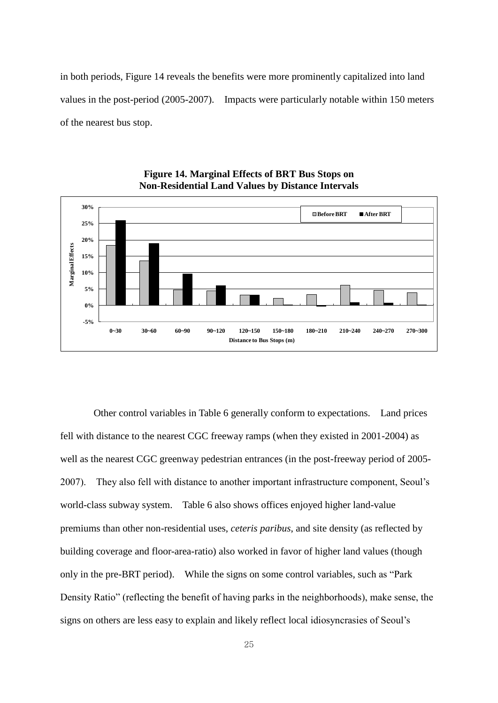in both periods, Figure 14 reveals the benefits were more prominently capitalized into land values in the post-period (2005-2007). Impacts were particularly notable within 150 meters of the nearest bus stop.



## **Figure 14. Marginal Effects of BRT Bus Stops on Non-Residential Land Values by Distance Intervals**

Other control variables in Table 6 generally conform to expectations. Land prices fell with distance to the nearest CGC freeway ramps (when they existed in 2001-2004) as well as the nearest CGC greenway pedestrian entrances (in the post-freeway period of 2005- 2007). They also fell with distance to another important infrastructure component, Seoul's world-class subway system. Table 6 also shows offices enjoyed higher land-value premiums than other non-residential uses, *ceteris paribus*, and site density (as reflected by building coverage and floor-area-ratio) also worked in favor of higher land values (though only in the pre-BRT period). While the signs on some control variables, such as "Park Density Ratio" (reflecting the benefit of having parks in the neighborhoods), make sense, the signs on others are less easy to explain and likely reflect local idiosyncrasies of Seoul's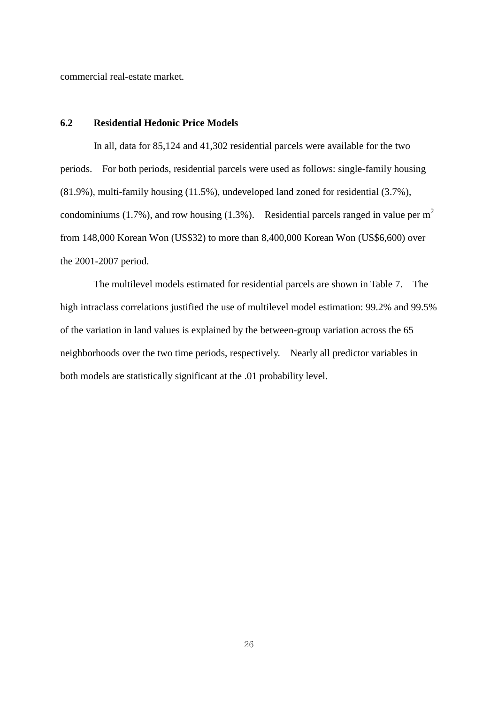commercial real-estate market.

#### **6.2 Residential Hedonic Price Models**

 In all, data for 85,124 and 41,302 residential parcels were available for the two periods. For both periods, residential parcels were used as follows: single-family housing (81.9%), multi-family housing (11.5%), undeveloped land zoned for residential (3.7%), condominiums (1.7%), and row housing (1.3%). Residential parcels ranged in value per  $m<sup>2</sup>$ from 148,000 Korean Won (US\$32) to more than 8,400,000 Korean Won (US\$6,600) over the 2001-2007 period.

The multilevel models estimated for residential parcels are shown in Table 7. The high intraclass correlations justified the use of multilevel model estimation: 99.2% and 99.5% of the variation in land values is explained by the between-group variation across the 65 neighborhoods over the two time periods, respectively. Nearly all predictor variables in both models are statistically significant at the .01 probability level.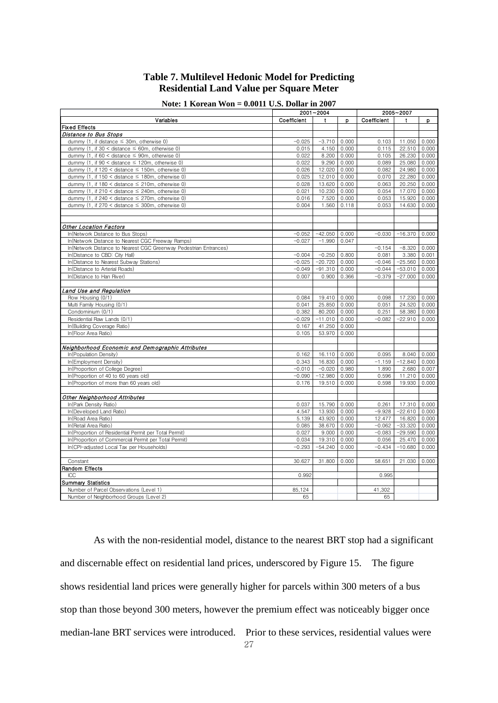## **Table 7. Multilevel Hedonic Model for Predicting Residential Land Value per Square Meter**

| Note: 1 Korean Won $= 0.0011$ U.S. Dollar in 2007 |  |  |  |  |  |  |  |  |  |  |  |  |  |
|---------------------------------------------------|--|--|--|--|--|--|--|--|--|--|--|--|--|
|---------------------------------------------------|--|--|--|--|--|--|--|--|--|--|--|--|--|

| Note: 1 Korean Won $= 0.0011$ U.S. Dollar in 2007                 |                | 2001~2004        |                | 2005~2007         |                     |                |  |
|-------------------------------------------------------------------|----------------|------------------|----------------|-------------------|---------------------|----------------|--|
| Variables                                                         | Coefficient    | t                | p              | Coefficient       | t                   | p              |  |
| <b>Fixed Effects</b>                                              |                |                  |                |                   |                     |                |  |
| Distance to Bus Stops                                             |                |                  |                |                   |                     |                |  |
| dummy (1, if distance $\leq$ 30m, otherwise 0)                    | $-0.025$       | $-3.710$         | 0.000          | 0.103             | 11.050              | 0.000          |  |
| dummy (1, if $30 <$ distance $\leq 60$ m, otherwise 0)            | 0.015          | 4.150            | 0.000          | 0.115             | 22.510              | 0.000          |  |
| dummy (1, if 60 < distance $\leq$ 90m, otherwise 0)               | 0.022          | 8.200            | 0.000          | 0.105             | 26.230              | 0.000          |  |
| dummy (1, if $90 <$ distance $\leq$ 120m, otherwise 0)            | 0.022          | 9.290            | 0.000          | 0.089             | 25.080              | 0.000          |  |
| dummy (1, if $120 <$ distance $\leq 150$ m, otherwise 0)          | 0.026          | 12.020           | 0.000          | 0.082             | 24.980              | 0.000          |  |
| dummy (1, if $150 <$ distance $\leq 180$ m, otherwise 0)          | 0.025          | 12.010           | 0.000          | 0.070             | 22.280              | 0.000          |  |
| dummy (1, if $180 <$ distance $\leq$ 210m, otherwise 0)           | 0.028          | 13.620           | 0.000          | 0.063             | 20.250              | 0.000          |  |
| dummy (1, if $210 <$ distance $\leq$ 240m, otherwise 0)           | 0.021          | 10.230           | 0.000          | 0.054             | 17.070              | 0.000          |  |
| dummy (1, if 240 < distance $\leq$ 270m, otherwise 0)             | 0.016          | 7.520            | 0.000          | 0.053             | 15.920              | 0.000          |  |
| dummy (1, if 270 < distance $\leq$ 300m, otherwise 0)             | 0.004          | 1.560            | 0.118          | 0.053             | 14.630              | 0.000          |  |
| <b>Other Location Factors</b>                                     |                |                  |                |                   |                     |                |  |
| In(Network Distance to Bus Stops)                                 | $-0.052$       | $-42.050$        | 0.000          | $-0.030$          | $-16.370$           | 0.000          |  |
| In(Network Distance to Nearest CGC Freeway Ramps)                 | $-0.027$       | $-1.990$         | 0.047          |                   |                     |                |  |
| In(Network Distance to Nearest CGC Greenway Pedestrian Entrances) |                |                  |                | $-0.154$          | $-8.320$            | 0.000          |  |
| In(Distance to CBD: City Hall)                                    | $-0.004$       | $-0.250$         | 0.800          | 0.081             | 3.380               | 0.001          |  |
| In(Distance to Nearest Subway Stations)                           | $-0.025$       | $-20.720$        | 0.000          | $-0.046$          | $-25.560$           | 0.000          |  |
| In(Distance to Arterial Roads)                                    | $-0.049$       | $-91.310$        | 0.000          | $-0.044$          | $-53.010$           | 0.000          |  |
| In(Distance to Han River)                                         | 0.007          | 0.900            | 0.366          | $-0.379$          | $-27.000$           | 0.000          |  |
|                                                                   |                |                  |                |                   |                     |                |  |
| Land Use and Regulation                                           |                |                  |                |                   |                     |                |  |
| Row Housing (0/1)                                                 | 0.084          | 19.410           | 0.000          | 0.098             | 17.230              | 0.000          |  |
| Multi Family Housing (0/1)                                        | 0.041          | 25.850           | 0.000          | 0.051             | 24.520              | 0.000          |  |
| Condominium (0/1)                                                 | 0.382          | 80.200           | 0.000          | 0.251             | 58.380              | 0.000          |  |
| Residential Raw Lands (0/1)                                       | $-0.029$       | $-11.010$        | 0.000          | $-0.082$          | $-22.910$           | 0.000          |  |
| In(Building Coverage Ratio)<br>In(Floor Area Ratio)               | 0.167<br>0.105 | 41.250<br>53.970 | 0.000<br>0.000 |                   |                     |                |  |
| Neighborhood Economic and Demographic Attributes                  |                |                  |                |                   |                     |                |  |
| In(Population Density)                                            | 0.162          | 16.110           | 0.000          | 0.095             | 8.040               | 0.000          |  |
| In(Employment Density)                                            | 0.343          | 16.830           | 0.000          | $-1.159$          | $-12.840$           | 0.000          |  |
| In(Proportion of College Degree)                                  | $-0.010$       | $-0.020$         | 0.980          | 1.890             | 2.680               | 0.007          |  |
| In(Proportion of 40 to 60 years old)                              | $-0.090$       | $-12.980$        | 0.000          | 0.596             | 11.210              | 0.000          |  |
| In(Proportion of more than 60 years old)                          | 0.176          | 19.510           | 0.000          | 0.598             | 19.930              | 0.000          |  |
|                                                                   |                |                  |                |                   |                     |                |  |
| Other Neighborhood Attributes                                     |                |                  |                |                   |                     |                |  |
| In(Park Density Ratio)<br>In(Developed Land Ratio)                | 0.037          | 15.790<br>13.930 | 0.000          | 0.261<br>$-9.928$ | 17.310<br>$-22.610$ | 0.000          |  |
| In(Road Area Ratio)                                               | 4.547<br>5.139 | 43.920           | 0.000<br>0.000 | 12,477            | 16.820              | 0.000<br>0.000 |  |
| In(Retail Area Ratio)                                             | 0.085          | 38.670           | 0.000          | $-0.062$          | $-33.320$           | 0.000          |  |
| In(Proportion of Residential Permit per Total Permit)             | 0.027          | 9.000            | 0.000          | $-0.083$          | $-29.590$           | 0.000          |  |
| In(Proportion of Commercial Permit per Total Permit)              | 0.034          | 19.310           | 0.000          | 0.056             | 25.470              | 0.000          |  |
| In(CPI-adjusted Local Tax per Households)                         | $-0.293$       | $-54.240$        | 0.000          | $-0.434$          | $-10.680$           | 0.000          |  |
|                                                                   |                |                  |                |                   |                     |                |  |
| Constant                                                          | 30.627         | 31,800           | 0.000          | 58.651            | 21.030              | 0.000          |  |
| Random Effects                                                    |                |                  |                |                   |                     |                |  |
| ICC                                                               | 0.992          |                  |                | 0.995             |                     |                |  |
| <b>Summary Statistics</b>                                         |                |                  |                |                   |                     |                |  |
| Number of Parcel Observations (Level 1)                           | 85,124         |                  |                | 41,302            |                     |                |  |
| Number of Neighborhood Groups (Level 2)                           | 65             |                  |                | 65                |                     |                |  |

27 As with the non-residential model, distance to the nearest BRT stop had a significant and discernable effect on residential land prices, underscored by Figure 15. The figure shows residential land prices were generally higher for parcels within 300 meters of a bus stop than those beyond 300 meters, however the premium effect was noticeably bigger once median-lane BRT services were introduced. Prior to these services, residential values were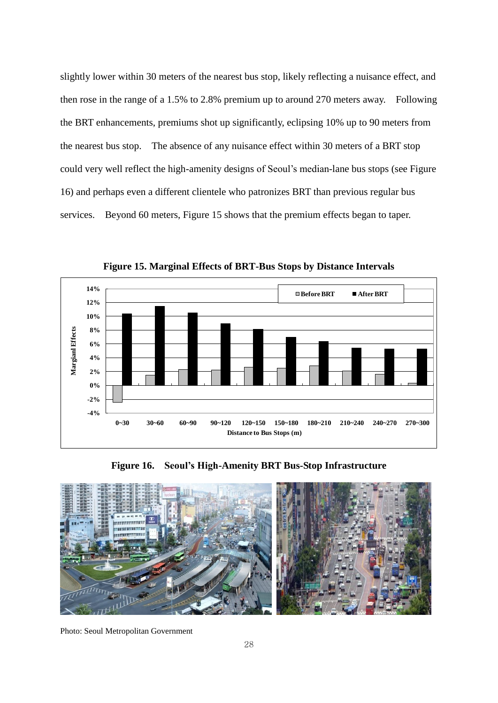slightly lower within 30 meters of the nearest bus stop, likely reflecting a nuisance effect, and then rose in the range of a 1.5% to 2.8% premium up to around 270 meters away. Following the BRT enhancements, premiums shot up significantly, eclipsing 10% up to 90 meters from the nearest bus stop. The absence of any nuisance effect within 30 meters of a BRT stop could very well reflect the high-amenity designs of Seoul's median-lane bus stops (see Figure 16) and perhaps even a different clientele who patronizes BRT than previous regular bus services. Beyond 60 meters, Figure 15 shows that the premium effects began to taper.



**Figure 15. Marginal Effects of BRT-Bus Stops by Distance Intervals**

**Figure 16. Seoul's High-Amenity BRT Bus-Stop Infrastructure**



Photo: Seoul Metropolitan Government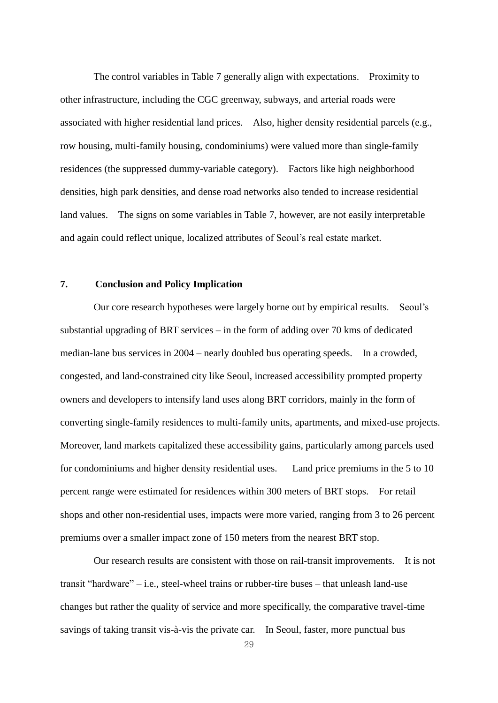The control variables in Table 7 generally align with expectations. Proximity to other infrastructure, including the CGC greenway, subways, and arterial roads were associated with higher residential land prices. Also, higher density residential parcels (e.g., row housing, multi-family housing, condominiums) were valued more than single-family residences (the suppressed dummy-variable category). Factors like high neighborhood densities, high park densities, and dense road networks also tended to increase residential land values. The signs on some variables in Table 7, however, are not easily interpretable and again could reflect unique, localized attributes of Seoul's real estate market.

#### **7. Conclusion and Policy Implication**

 Our core research hypotheses were largely borne out by empirical results. Seoul's substantial upgrading of BRT services – in the form of adding over 70 kms of dedicated median-lane bus services in 2004 – nearly doubled bus operating speeds. In a crowded, congested, and land-constrained city like Seoul, increased accessibility prompted property owners and developers to intensify land uses along BRT corridors, mainly in the form of converting single-family residences to multi-family units, apartments, and mixed-use projects. Moreover, land markets capitalized these accessibility gains, particularly among parcels used for condominiums and higher density residential uses. Land price premiums in the 5 to 10 percent range were estimated for residences within 300 meters of BRT stops. For retail shops and other non-residential uses, impacts were more varied, ranging from 3 to 26 percent premiums over a smaller impact zone of 150 meters from the nearest BRT stop.

Our research results are consistent with those on rail-transit improvements. It is not transit "hardware" – i.e., steel-wheel trains or rubber-tire buses – that unleash land-use changes but rather the quality of service and more specifically, the comparative travel-time savings of taking transit vis-à-vis the private car. In Seoul, faster, more punctual bus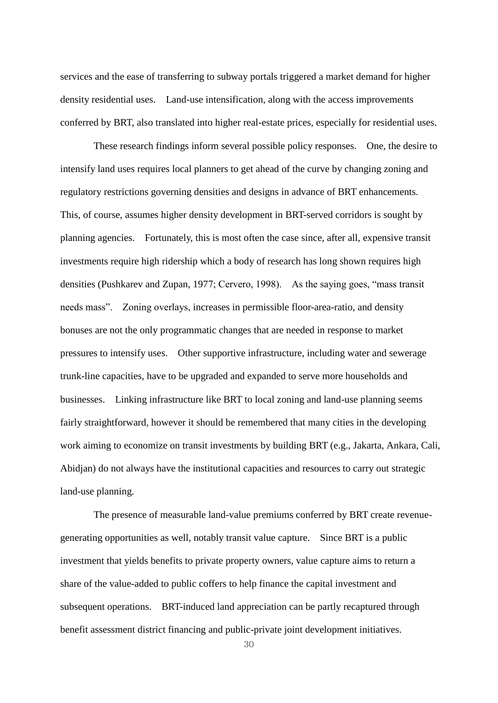services and the ease of transferring to subway portals triggered a market demand for higher density residential uses. Land-use intensification, along with the access improvements conferred by BRT, also translated into higher real-estate prices, especially for residential uses.

These research findings inform several possible policy responses. One, the desire to intensify land uses requires local planners to get ahead of the curve by changing zoning and regulatory restrictions governing densities and designs in advance of BRT enhancements. This, of course, assumes higher density development in BRT-served corridors is sought by planning agencies. Fortunately, this is most often the case since, after all, expensive transit investments require high ridership which a body of research has long shown requires high densities (Pushkarev and Zupan, 1977; Cervero, 1998). As the saying goes, "mass transit needs mass". Zoning overlays, increases in permissible floor-area-ratio, and density bonuses are not the only programmatic changes that are needed in response to market pressures to intensify uses. Other supportive infrastructure, including water and sewerage trunk-line capacities, have to be upgraded and expanded to serve more households and businesses. Linking infrastructure like BRT to local zoning and land-use planning seems fairly straightforward, however it should be remembered that many cities in the developing work aiming to economize on transit investments by building BRT (e.g., Jakarta, Ankara, Cali, Abidjan) do not always have the institutional capacities and resources to carry out strategic land-use planning.

The presence of measurable land-value premiums conferred by BRT create revenuegenerating opportunities as well, notably transit value capture. Since BRT is a public investment that yields benefits to private property owners, value capture aims to return a share of the value-added to public coffers to help finance the capital investment and subsequent operations. BRT-induced land appreciation can be partly recaptured through benefit assessment district financing and public-private joint development initiatives.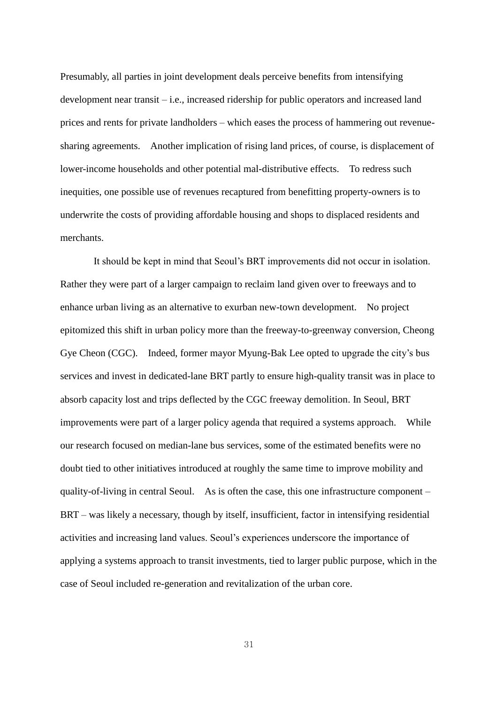Presumably, all parties in joint development deals perceive benefits from intensifying development near transit – i.e., increased ridership for public operators and increased land prices and rents for private landholders – which eases the process of hammering out revenuesharing agreements. Another implication of rising land prices, of course, is displacement of lower-income households and other potential mal-distributive effects. To redress such inequities, one possible use of revenues recaptured from benefitting property-owners is to underwrite the costs of providing affordable housing and shops to displaced residents and merchants.

It should be kept in mind that Seoul's BRT improvements did not occur in isolation. Rather they were part of a larger campaign to reclaim land given over to freeways and to enhance urban living as an alternative to exurban new-town development. No project epitomized this shift in urban policy more than the freeway-to-greenway conversion, Cheong Gye Cheon (CGC). Indeed, former mayor Myung-Bak Lee opted to upgrade the city's bus services and invest in dedicated-lane BRT partly to ensure high-quality transit was in place to absorb capacity lost and trips deflected by the CGC freeway demolition. In Seoul, BRT improvements were part of a larger policy agenda that required a systems approach. While our research focused on median-lane bus services, some of the estimated benefits were no doubt tied to other initiatives introduced at roughly the same time to improve mobility and quality-of-living in central Seoul. As is often the case, this one infrastructure component – BRT – was likely a necessary, though by itself, insufficient, factor in intensifying residential activities and increasing land values. Seoul's experiences underscore the importance of applying a systems approach to transit investments, tied to larger public purpose, which in the case of Seoul included re-generation and revitalization of the urban core.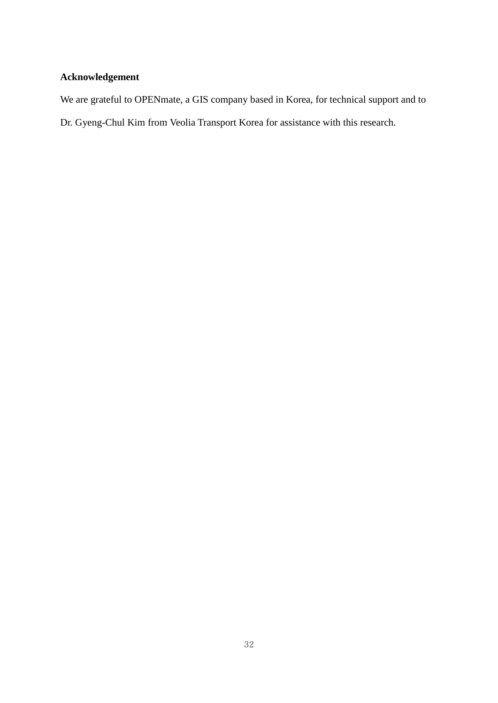# **Acknowledgement**

We are grateful to OPENmate, a GIS company based in Korea, for technical support and to

Dr. Gyeng-Chul Kim from Veolia Transport Korea for assistance with this research.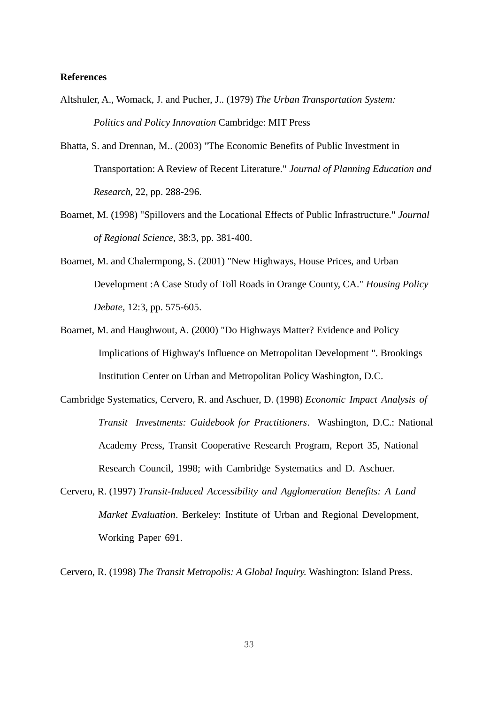#### **References**

- Altshuler, A., Womack, J. and Pucher, J.. (1979) *The Urban Transportation System: Politics and Policy Innovation* Cambridge: MIT Press
- Bhatta, S. and Drennan, M.. (2003) "The Economic Benefits of Public Investment in Transportation: A Review of Recent Literature." *Journal of Planning Education and Research*, 22, pp. 288-296.
- Boarnet, M. (1998) "Spillovers and the Locational Effects of Public Infrastructure." *Journal of Regional Science*, 38:3, pp. 381-400.
- Boarnet, M. and Chalermpong, S. (2001) "New Highways, House Prices, and Urban Development :A Case Study of Toll Roads in Orange County, CA." *Housing Policy Debate,* 12:3, pp. 575-605.
- Boarnet, M. and Haughwout, A. (2000) "Do Highways Matter? Evidence and Policy Implications of Highway's Influence on Metropolitan Development ". Brookings Institution Center on Urban and Metropolitan Policy Washington, D.C.
- Cambridge Systematics, Cervero, R. and Aschuer, D. (1998) *Economic Impact Analysis of Transit Investments: Guidebook for Practitioners*. Washington, D.C.: National Academy Press, Transit Cooperative Research Program, Report 35, National Research Council, 1998; with Cambridge Systematics and D. Aschuer.
- Cervero, R. (1997) *Transit-Induced Accessibility and Agglomeration Benefits: A Land Market Evaluation*. Berkeley: Institute of Urban and Regional Development, Working Paper 691.

Cervero, R. (1998) *The Transit Metropolis: A Global Inquiry.* Washington: Island Press.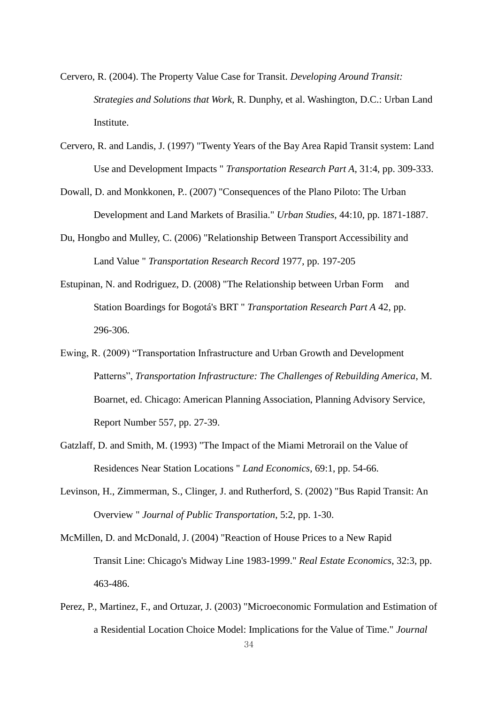- Cervero, R. (2004). The Property Value Case for Transit. *Developing Around Transit: Strategies and Solutions that Work*, R. Dunphy, et al. Washington, D.C.: Urban Land Institute.
- Cervero, R. and Landis, J. (1997) "Twenty Years of the Bay Area Rapid Transit system: Land Use and Development Impacts " *Transportation Research Part A*, 31:4, pp. 309-333.
- Dowall, D. and Monkkonen, P.. (2007) "Consequences of the Plano Piloto: The Urban Development and Land Markets of Brasilia." *Urban Studies*, 44:10, pp. 1871-1887.
- Du, Hongbo and Mulley, C. (2006) "Relationship Between Transport Accessibility and Land Value " *Transportation Research Record* 1977, pp. 197-205
- Estupinan, N. and Rodriguez, D. (2008) "The Relationship between Urban Form and Station Boardings for Bogotá's BRT " *Transportation Research Part A* 42, pp. 296-306.
- Ewing, R. (2009) "Transportation Infrastructure and Urban Growth and Development Patterns", *Transportation Infrastructure: The Challenges of Rebuilding America*, M. Boarnet, ed. Chicago: American Planning Association, Planning Advisory Service, Report Number 557, pp. 27-39.
- Gatzlaff, D. and Smith, M. (1993) "The Impact of the Miami Metrorail on the Value of Residences Near Station Locations " *Land Economics*, 69:1, pp. 54-66.
- Levinson, H., Zimmerman, S., Clinger, J. and Rutherford, S. (2002) "Bus Rapid Transit: An Overview " *Journal of Public Transportation*, 5:2, pp. 1-30.
- McMillen, D. and McDonald, J. (2004) "Reaction of House Prices to a New Rapid Transit Line: Chicago's Midway Line 1983-1999." *Real Estate Economics*, 32:3, pp. 463-486.
- Perez, P., Martinez, F., and Ortuzar, J. (2003) "Microeconomic Formulation and Estimation of a Residential Location Choice Model: Implications for the Value of Time." *Journal*